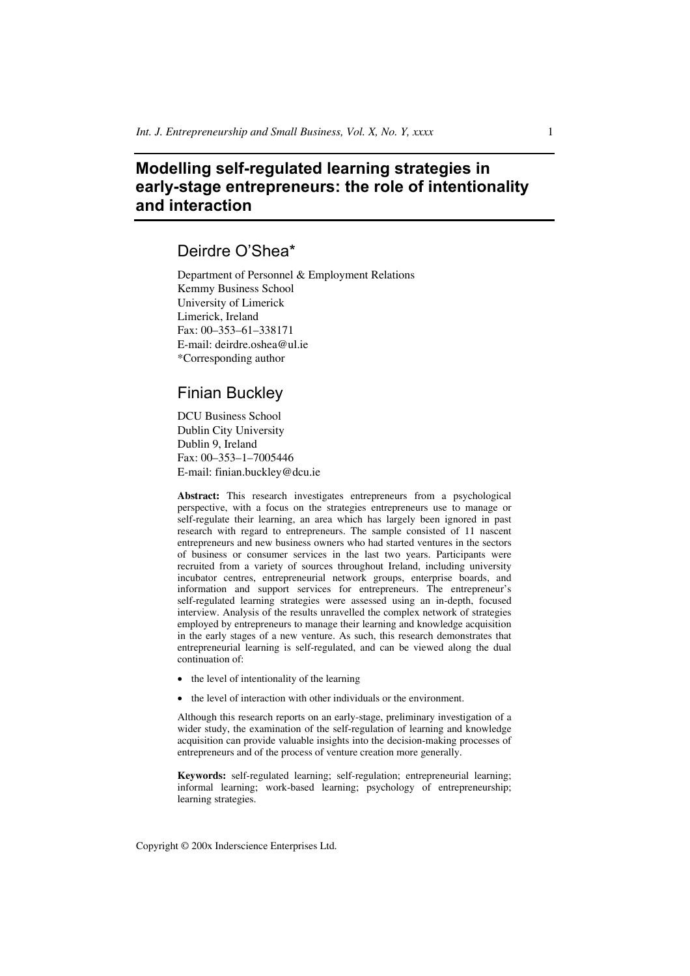# **Modelling self-regulated learning strategies in early-stage entrepreneurs: the role of intentionality and interaction**

## Deirdre O'Shea\*

Department of Personnel & Employment Relations Kemmy Business School University of Limerick Limerick, Ireland Fax: 00–353–61–338171 E-mail: deirdre.oshea@ul.ie \*Corresponding author

## Finian Buckley

DCU Business School Dublin City University Dublin 9, Ireland Fax: 00–353–1–7005446 E-mail: finian.buckley@dcu.ie

**Abstract:** This research investigates entrepreneurs from a psychological perspective, with a focus on the strategies entrepreneurs use to manage or self-regulate their learning, an area which has largely been ignored in past research with regard to entrepreneurs. The sample consisted of 11 nascent entrepreneurs and new business owners who had started ventures in the sectors of business or consumer services in the last two years. Participants were recruited from a variety of sources throughout Ireland, including university incubator centres, entrepreneurial network groups, enterprise boards, and information and support services for entrepreneurs. The entrepreneur's self-regulated learning strategies were assessed using an in-depth, focused interview. Analysis of the results unravelled the complex network of strategies employed by entrepreneurs to manage their learning and knowledge acquisition in the early stages of a new venture. As such, this research demonstrates that entrepreneurial learning is self-regulated, and can be viewed along the dual continuation of:

- the level of intentionality of the learning
- the level of interaction with other individuals or the environment.

Although this research reports on an early-stage, preliminary investigation of a wider study, the examination of the self-regulation of learning and knowledge acquisition can provide valuable insights into the decision-making processes of entrepreneurs and of the process of venture creation more generally.

**Keywords:** self-regulated learning; self-regulation; entrepreneurial learning; informal learning; work-based learning; psychology of entrepreneurship; learning strategies.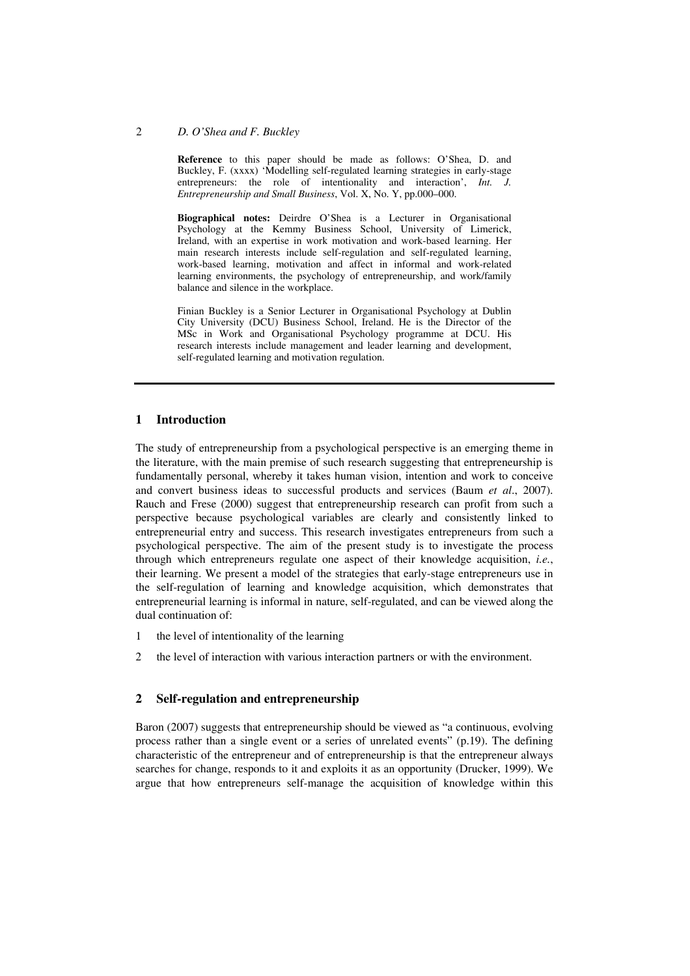**Reference** to this paper should be made as follows: O'Shea, D. and Buckley, F. (xxxx) 'Modelling self-regulated learning strategies in early-stage entrepreneurs: the role of intentionality and interaction', *Int.* J. *Entrepreneurship and Small Business*, Vol. X, No. Y, pp.000–000.

**Biographical notes:** Deirdre O'Shea is a Lecturer in Organisational Psychology at the Kemmy Business School, University of Limerick, Ireland, with an expertise in work motivation and work-based learning. Her main research interests include self-regulation and self-regulated learning, work-based learning, motivation and affect in informal and work-related learning environments, the psychology of entrepreneurship, and work/family balance and silence in the workplace.

Finian Buckley is a Senior Lecturer in Organisational Psychology at Dublin City University (DCU) Business School, Ireland. He is the Director of the MSc in Work and Organisational Psychology programme at DCU. His research interests include management and leader learning and development, self-regulated learning and motivation regulation.

## **1 Introduction**

The study of entrepreneurship from a psychological perspective is an emerging theme in the literature, with the main premise of such research suggesting that entrepreneurship is fundamentally personal, whereby it takes human vision, intention and work to conceive and convert business ideas to successful products and services (Baum *et al*., 2007). Rauch and Frese (2000) suggest that entrepreneurship research can profit from such a perspective because psychological variables are clearly and consistently linked to entrepreneurial entry and success. This research investigates entrepreneurs from such a psychological perspective. The aim of the present study is to investigate the process through which entrepreneurs regulate one aspect of their knowledge acquisition, *i.e.*, their learning. We present a model of the strategies that early-stage entrepreneurs use in the self-regulation of learning and knowledge acquisition, which demonstrates that entrepreneurial learning is informal in nature, self-regulated, and can be viewed along the dual continuation of:

- 1 the level of intentionality of the learning
- 2 the level of interaction with various interaction partners or with the environment.

## **2 Self-regulation and entrepreneurship**

Baron (2007) suggests that entrepreneurship should be viewed as "a continuous, evolving process rather than a single event or a series of unrelated events" (p.19). The defining characteristic of the entrepreneur and of entrepreneurship is that the entrepreneur always searches for change, responds to it and exploits it as an opportunity (Drucker, 1999). We argue that how entrepreneurs self-manage the acquisition of knowledge within this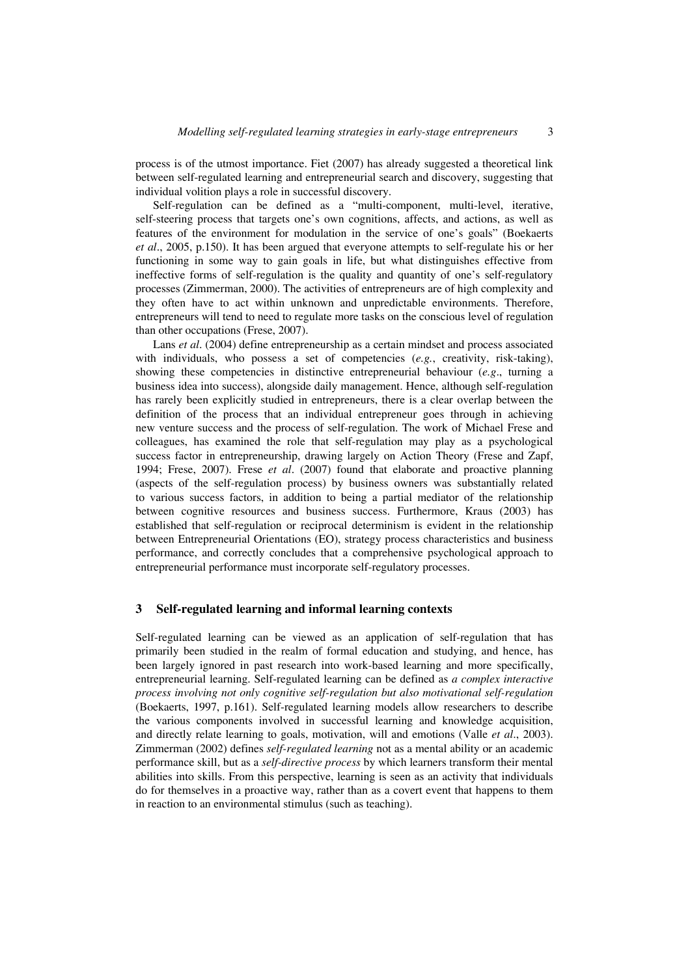process is of the utmost importance. Fiet (2007) has already suggested a theoretical link between self-regulated learning and entrepreneurial search and discovery, suggesting that individual volition plays a role in successful discovery.

Self-regulation can be defined as a "multi-component, multi-level, iterative, self-steering process that targets one's own cognitions, affects, and actions, as well as features of the environment for modulation in the service of one's goals" (Boekaerts *et al*., 2005, p.150). It has been argued that everyone attempts to self-regulate his or her functioning in some way to gain goals in life, but what distinguishes effective from ineffective forms of self-regulation is the quality and quantity of one's self-regulatory processes (Zimmerman, 2000). The activities of entrepreneurs are of high complexity and they often have to act within unknown and unpredictable environments. Therefore, entrepreneurs will tend to need to regulate more tasks on the conscious level of regulation than other occupations (Frese, 2007).

Lans *et al*. (2004) define entrepreneurship as a certain mindset and process associated with individuals, who possess a set of competencies (*e.g.*, creativity, risk-taking), showing these competencies in distinctive entrepreneurial behaviour (*e.g*., turning a business idea into success), alongside daily management. Hence, although self-regulation has rarely been explicitly studied in entrepreneurs, there is a clear overlap between the definition of the process that an individual entrepreneur goes through in achieving new venture success and the process of self-regulation. The work of Michael Frese and colleagues, has examined the role that self-regulation may play as a psychological success factor in entrepreneurship, drawing largely on Action Theory (Frese and Zapf, 1994; Frese, 2007). Frese *et al*. (2007) found that elaborate and proactive planning (aspects of the self-regulation process) by business owners was substantially related to various success factors, in addition to being a partial mediator of the relationship between cognitive resources and business success. Furthermore, Kraus (2003) has established that self-regulation or reciprocal determinism is evident in the relationship between Entrepreneurial Orientations (EO), strategy process characteristics and business performance, and correctly concludes that a comprehensive psychological approach to entrepreneurial performance must incorporate self-regulatory processes.

#### **3 Self-regulated learning and informal learning contexts**

Self-regulated learning can be viewed as an application of self-regulation that has primarily been studied in the realm of formal education and studying, and hence, has been largely ignored in past research into work-based learning and more specifically, entrepreneurial learning. Self-regulated learning can be defined as *a complex interactive process involving not only cognitive self-regulation but also motivational self-regulation* (Boekaerts, 1997, p.161). Self-regulated learning models allow researchers to describe the various components involved in successful learning and knowledge acquisition, and directly relate learning to goals, motivation, will and emotions (Valle *et al*., 2003). Zimmerman (2002) defines *self-regulated learning* not as a mental ability or an academic performance skill, but as a *self-directive process* by which learners transform their mental abilities into skills. From this perspective, learning is seen as an activity that individuals do for themselves in a proactive way, rather than as a covert event that happens to them in reaction to an environmental stimulus (such as teaching).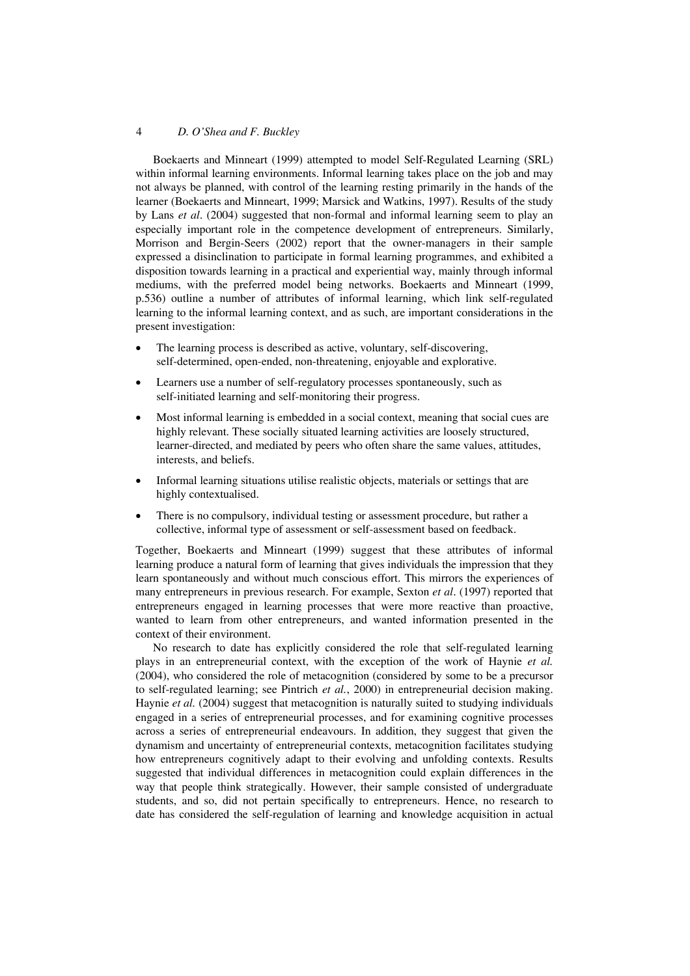Boekaerts and Minneart (1999) attempted to model Self-Regulated Learning (SRL) within informal learning environments. Informal learning takes place on the job and may not always be planned, with control of the learning resting primarily in the hands of the learner (Boekaerts and Minneart, 1999; Marsick and Watkins, 1997). Results of the study by Lans *et al*. (2004) suggested that non-formal and informal learning seem to play an especially important role in the competence development of entrepreneurs. Similarly, Morrison and Bergin-Seers (2002) report that the owner-managers in their sample expressed a disinclination to participate in formal learning programmes, and exhibited a disposition towards learning in a practical and experiential way, mainly through informal mediums, with the preferred model being networks. Boekaerts and Minneart (1999, p.536) outline a number of attributes of informal learning, which link self-regulated learning to the informal learning context, and as such, are important considerations in the present investigation:

- The learning process is described as active, voluntary, self-discovering, self-determined, open-ended, non-threatening, enjoyable and explorative.
- Learners use a number of self-regulatory processes spontaneously, such as self-initiated learning and self-monitoring their progress.
- Most informal learning is embedded in a social context, meaning that social cues are highly relevant. These socially situated learning activities are loosely structured, learner-directed, and mediated by peers who often share the same values, attitudes, interests, and beliefs.
- Informal learning situations utilise realistic objects, materials or settings that are highly contextualised.
- There is no compulsory, individual testing or assessment procedure, but rather a collective, informal type of assessment or self-assessment based on feedback.

Together, Boekaerts and Minneart (1999) suggest that these attributes of informal learning produce a natural form of learning that gives individuals the impression that they learn spontaneously and without much conscious effort. This mirrors the experiences of many entrepreneurs in previous research. For example, Sexton *et al*. (1997) reported that entrepreneurs engaged in learning processes that were more reactive than proactive, wanted to learn from other entrepreneurs, and wanted information presented in the context of their environment.

No research to date has explicitly considered the role that self-regulated learning plays in an entrepreneurial context, with the exception of the work of Haynie *et al.* (2004), who considered the role of metacognition (considered by some to be a precursor to self-regulated learning; see Pintrich *et al.*, 2000) in entrepreneurial decision making. Haynie et al. (2004) suggest that metacognition is naturally suited to studying individuals engaged in a series of entrepreneurial processes, and for examining cognitive processes across a series of entrepreneurial endeavours. In addition, they suggest that given the dynamism and uncertainty of entrepreneurial contexts, metacognition facilitates studying how entrepreneurs cognitively adapt to their evolving and unfolding contexts. Results suggested that individual differences in metacognition could explain differences in the way that people think strategically. However, their sample consisted of undergraduate students, and so, did not pertain specifically to entrepreneurs. Hence, no research to date has considered the self-regulation of learning and knowledge acquisition in actual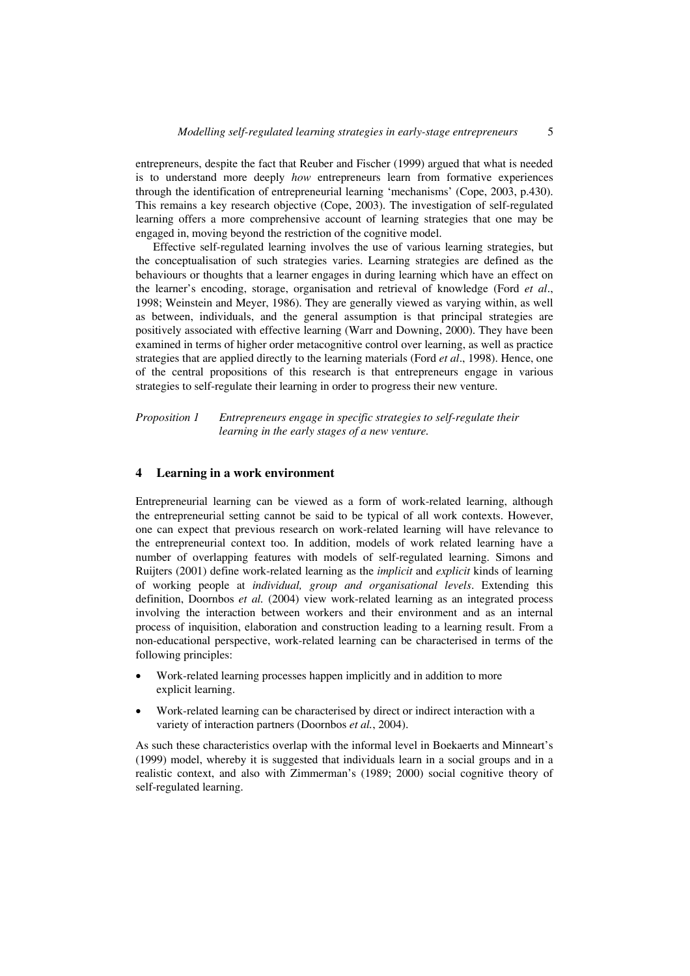entrepreneurs, despite the fact that Reuber and Fischer (1999) argued that what is needed is to understand more deeply *how* entrepreneurs learn from formative experiences through the identification of entrepreneurial learning 'mechanisms' (Cope, 2003, p.430). This remains a key research objective (Cope, 2003). The investigation of self-regulated learning offers a more comprehensive account of learning strategies that one may be engaged in, moving beyond the restriction of the cognitive model.

Effective self-regulated learning involves the use of various learning strategies, but the conceptualisation of such strategies varies. Learning strategies are defined as the behaviours or thoughts that a learner engages in during learning which have an effect on the learner's encoding, storage, organisation and retrieval of knowledge (Ford *et al*., 1998; Weinstein and Meyer, 1986). They are generally viewed as varying within, as well as between, individuals, and the general assumption is that principal strategies are positively associated with effective learning (Warr and Downing, 2000). They have been examined in terms of higher order metacognitive control over learning, as well as practice strategies that are applied directly to the learning materials (Ford *et al*., 1998). Hence, one of the central propositions of this research is that entrepreneurs engage in various strategies to self-regulate their learning in order to progress their new venture.

*Proposition 1 Entrepreneurs engage in specific strategies to self-regulate their learning in the early stages of a new venture.*

## **4 Learning in a work environment**

Entrepreneurial learning can be viewed as a form of work-related learning, although the entrepreneurial setting cannot be said to be typical of all work contexts. However, one can expect that previous research on work-related learning will have relevance to the entrepreneurial context too. In addition, models of work related learning have a number of overlapping features with models of self-regulated learning. Simons and Ruijters (2001) define work-related learning as the *implicit* and *explicit* kinds of learning of working people at *individual, group and organisational levels*. Extending this definition, Doornbos *et al.* (2004) view work-related learning as an integrated process involving the interaction between workers and their environment and as an internal process of inquisition, elaboration and construction leading to a learning result. From a non-educational perspective, work-related learning can be characterised in terms of the following principles:

- Work-related learning processes happen implicitly and in addition to more explicit learning.
- Work-related learning can be characterised by direct or indirect interaction with a variety of interaction partners (Doornbos *et al.*, 2004).

As such these characteristics overlap with the informal level in Boekaerts and Minneart's (1999) model, whereby it is suggested that individuals learn in a social groups and in a realistic context, and also with Zimmerman's (1989; 2000) social cognitive theory of self-regulated learning.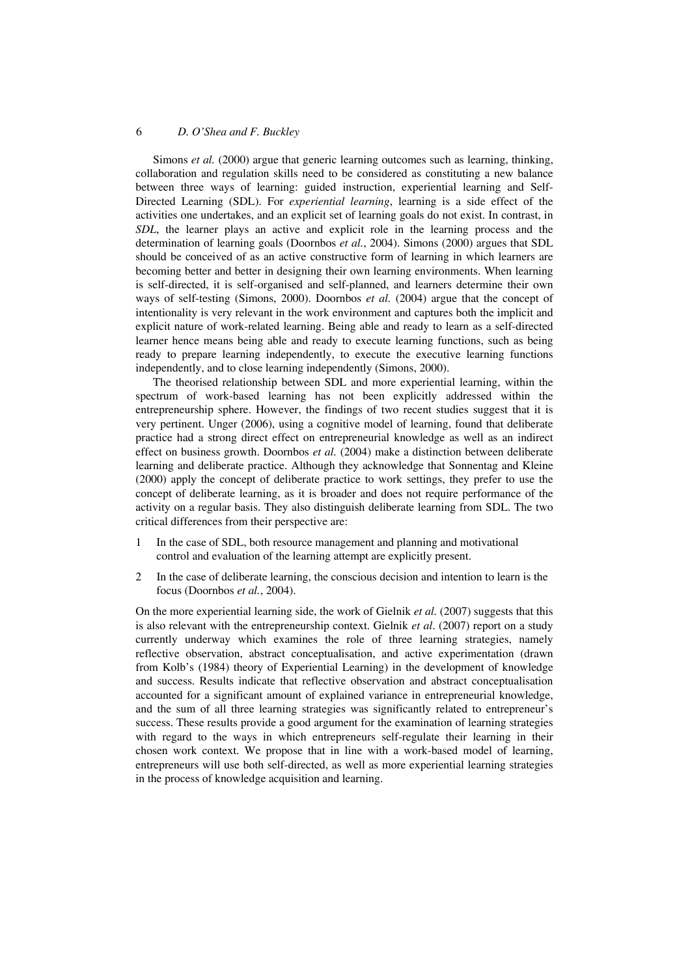Simons *et al.* (2000) argue that generic learning outcomes such as learning, thinking, collaboration and regulation skills need to be considered as constituting a new balance between three ways of learning: guided instruction, experiential learning and Self-Directed Learning (SDL). For *experiential learning*, learning is a side effect of the activities one undertakes, and an explicit set of learning goals do not exist. In contrast, in *SDL*, the learner plays an active and explicit role in the learning process and the determination of learning goals (Doornbos *et al.*, 2004). Simons (2000) argues that SDL should be conceived of as an active constructive form of learning in which learners are becoming better and better in designing their own learning environments. When learning is self-directed, it is self-organised and self-planned, and learners determine their own ways of self-testing (Simons, 2000). Doornbos *et al.* (2004) argue that the concept of intentionality is very relevant in the work environment and captures both the implicit and explicit nature of work-related learning. Being able and ready to learn as a self-directed learner hence means being able and ready to execute learning functions, such as being ready to prepare learning independently, to execute the executive learning functions independently, and to close learning independently (Simons, 2000).

The theorised relationship between SDL and more experiential learning, within the spectrum of work-based learning has not been explicitly addressed within the entrepreneurship sphere. However, the findings of two recent studies suggest that it is very pertinent. Unger (2006), using a cognitive model of learning, found that deliberate practice had a strong direct effect on entrepreneurial knowledge as well as an indirect effect on business growth. Doornbos *et al.* (2004) make a distinction between deliberate learning and deliberate practice. Although they acknowledge that Sonnentag and Kleine (2000) apply the concept of deliberate practice to work settings, they prefer to use the concept of deliberate learning, as it is broader and does not require performance of the activity on a regular basis. They also distinguish deliberate learning from SDL. The two critical differences from their perspective are:

- 1 In the case of SDL, both resource management and planning and motivational control and evaluation of the learning attempt are explicitly present.
- 2 In the case of deliberate learning, the conscious decision and intention to learn is the focus (Doornbos *et al.*, 2004).

On the more experiential learning side, the work of Gielnik *et al.* (2007) suggests that this is also relevant with the entrepreneurship context. Gielnik *et al*. (2007) report on a study currently underway which examines the role of three learning strategies, namely reflective observation, abstract conceptualisation, and active experimentation (drawn from Kolb's (1984) theory of Experiential Learning) in the development of knowledge and success. Results indicate that reflective observation and abstract conceptualisation accounted for a significant amount of explained variance in entrepreneurial knowledge, and the sum of all three learning strategies was significantly related to entrepreneur's success. These results provide a good argument for the examination of learning strategies with regard to the ways in which entrepreneurs self-regulate their learning in their chosen work context. We propose that in line with a work-based model of learning, entrepreneurs will use both self-directed, as well as more experiential learning strategies in the process of knowledge acquisition and learning.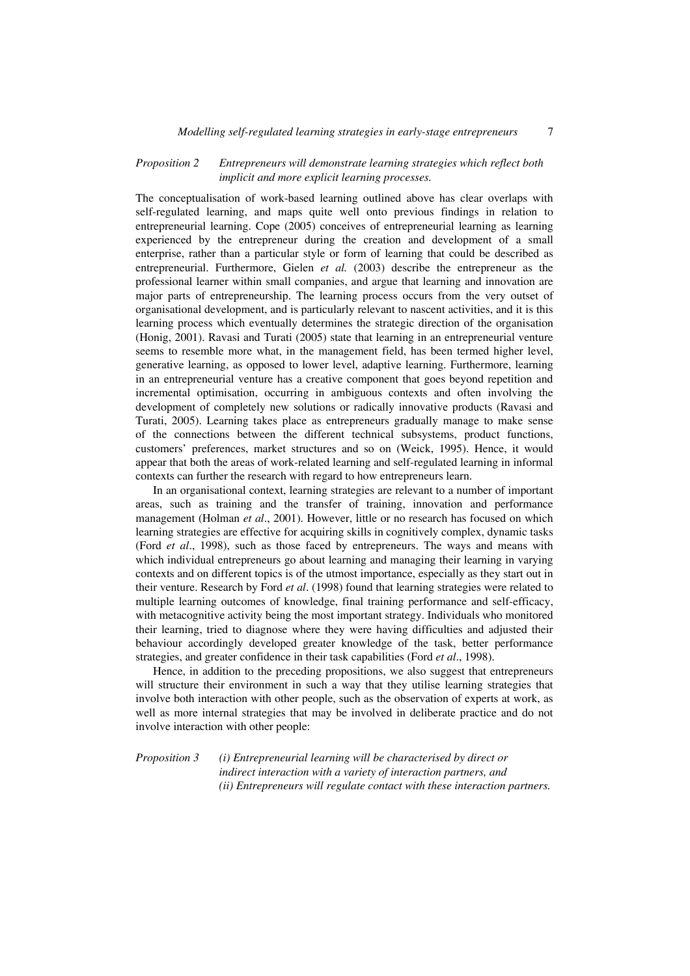### *Proposition 2 Entrepreneurs will demonstrate learning strategies which reflect both implicit and more explicit learning processes.*

The conceptualisation of work-based learning outlined above has clear overlaps with self-regulated learning, and maps quite well onto previous findings in relation to entrepreneurial learning. Cope (2005) conceives of entrepreneurial learning as learning experienced by the entrepreneur during the creation and development of a small enterprise, rather than a particular style or form of learning that could be described as entrepreneurial. Furthermore, Gielen *et al.* (2003) describe the entrepreneur as the professional learner within small companies, and argue that learning and innovation are major parts of entrepreneurship. The learning process occurs from the very outset of organisational development, and is particularly relevant to nascent activities, and it is this learning process which eventually determines the strategic direction of the organisation (Honig, 2001). Ravasi and Turati (2005) state that learning in an entrepreneurial venture seems to resemble more what, in the management field, has been termed higher level, generative learning, as opposed to lower level, adaptive learning. Furthermore, learning in an entrepreneurial venture has a creative component that goes beyond repetition and incremental optimisation, occurring in ambiguous contexts and often involving the development of completely new solutions or radically innovative products (Ravasi and Turati, 2005). Learning takes place as entrepreneurs gradually manage to make sense of the connections between the different technical subsystems, product functions, customers' preferences, market structures and so on (Weick, 1995). Hence, it would appear that both the areas of work-related learning and self-regulated learning in informal contexts can further the research with regard to how entrepreneurs learn.

In an organisational context, learning strategies are relevant to a number of important areas, such as training and the transfer of training, innovation and performance management (Holman *et al*., 2001). However, little or no research has focused on which learning strategies are effective for acquiring skills in cognitively complex, dynamic tasks (Ford *et al*., 1998), such as those faced by entrepreneurs. The ways and means with which individual entrepreneurs go about learning and managing their learning in varying contexts and on different topics is of the utmost importance, especially as they start out in their venture. Research by Ford *et al*. (1998) found that learning strategies were related to multiple learning outcomes of knowledge, final training performance and self-efficacy, with metacognitive activity being the most important strategy. Individuals who monitored their learning, tried to diagnose where they were having difficulties and adjusted their behaviour accordingly developed greater knowledge of the task, better performance strategies, and greater confidence in their task capabilities (Ford *et al*., 1998).

Hence, in addition to the preceding propositions, we also suggest that entrepreneurs will structure their environment in such a way that they utilise learning strategies that involve both interaction with other people, such as the observation of experts at work, as well as more internal strategies that may be involved in deliberate practice and do not involve interaction with other people:

*Proposition 3 (i) Entrepreneurial learning will be characterised by direct or indirect interaction with a variety of interaction partners, and (ii) Entrepreneurs will regulate contact with these interaction partners.*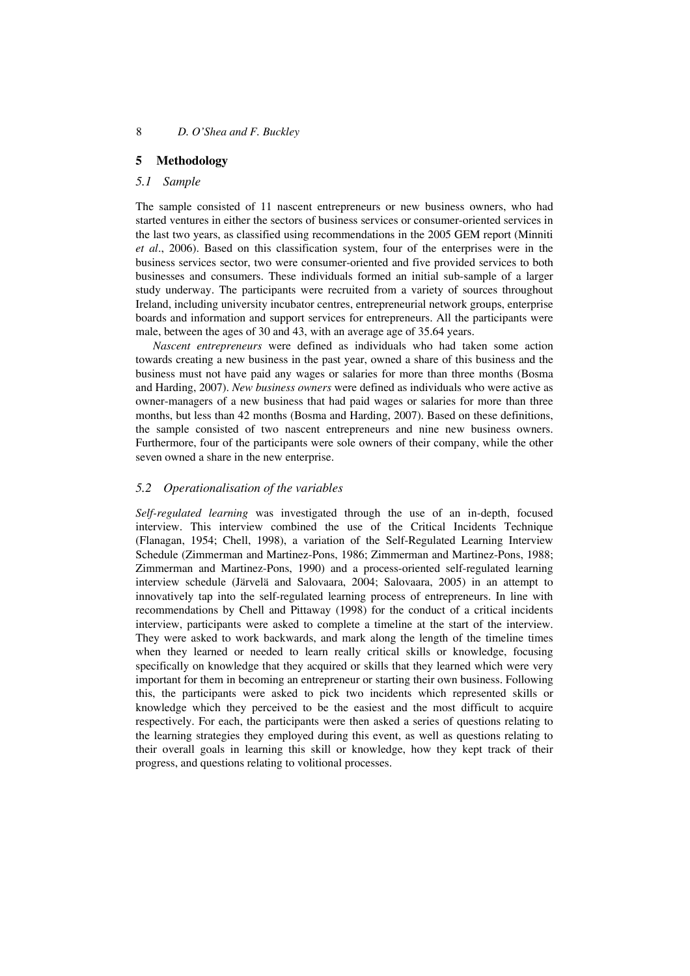## **5 Methodology**

### *5.1 Sample*

The sample consisted of 11 nascent entrepreneurs or new business owners, who had started ventures in either the sectors of business services or consumer-oriented services in the last two years, as classified using recommendations in the 2005 GEM report (Minniti *et al*., 2006). Based on this classification system, four of the enterprises were in the business services sector, two were consumer-oriented and five provided services to both businesses and consumers. These individuals formed an initial sub-sample of a larger study underway. The participants were recruited from a variety of sources throughout Ireland, including university incubator centres, entrepreneurial network groups, enterprise boards and information and support services for entrepreneurs. All the participants were male, between the ages of 30 and 43, with an average age of 35.64 years.

*Nascent entrepreneurs* were defined as individuals who had taken some action towards creating a new business in the past year, owned a share of this business and the business must not have paid any wages or salaries for more than three months (Bosma and Harding, 2007). *New business owners* were defined as individuals who were active as owner-managers of a new business that had paid wages or salaries for more than three months, but less than 42 months (Bosma and Harding, 2007). Based on these definitions, the sample consisted of two nascent entrepreneurs and nine new business owners. Furthermore, four of the participants were sole owners of their company, while the other seven owned a share in the new enterprise.

#### *5.2 Operationalisation of the variables*

*Self-regulated learning* was investigated through the use of an in-depth, focused interview. This interview combined the use of the Critical Incidents Technique (Flanagan, 1954; Chell, 1998), a variation of the Self-Regulated Learning Interview Schedule (Zimmerman and Martinez-Pons, 1986; Zimmerman and Martinez-Pons, 1988; Zimmerman and Martinez-Pons, 1990) and a process-oriented self-regulated learning interview schedule (Järvelä and Salovaara, 2004; Salovaara, 2005) in an attempt to innovatively tap into the self-regulated learning process of entrepreneurs. In line with recommendations by Chell and Pittaway (1998) for the conduct of a critical incidents interview, participants were asked to complete a timeline at the start of the interview. They were asked to work backwards, and mark along the length of the timeline times when they learned or needed to learn really critical skills or knowledge, focusing specifically on knowledge that they acquired or skills that they learned which were very important for them in becoming an entrepreneur or starting their own business. Following this, the participants were asked to pick two incidents which represented skills or knowledge which they perceived to be the easiest and the most difficult to acquire respectively. For each, the participants were then asked a series of questions relating to the learning strategies they employed during this event, as well as questions relating to their overall goals in learning this skill or knowledge, how they kept track of their progress, and questions relating to volitional processes.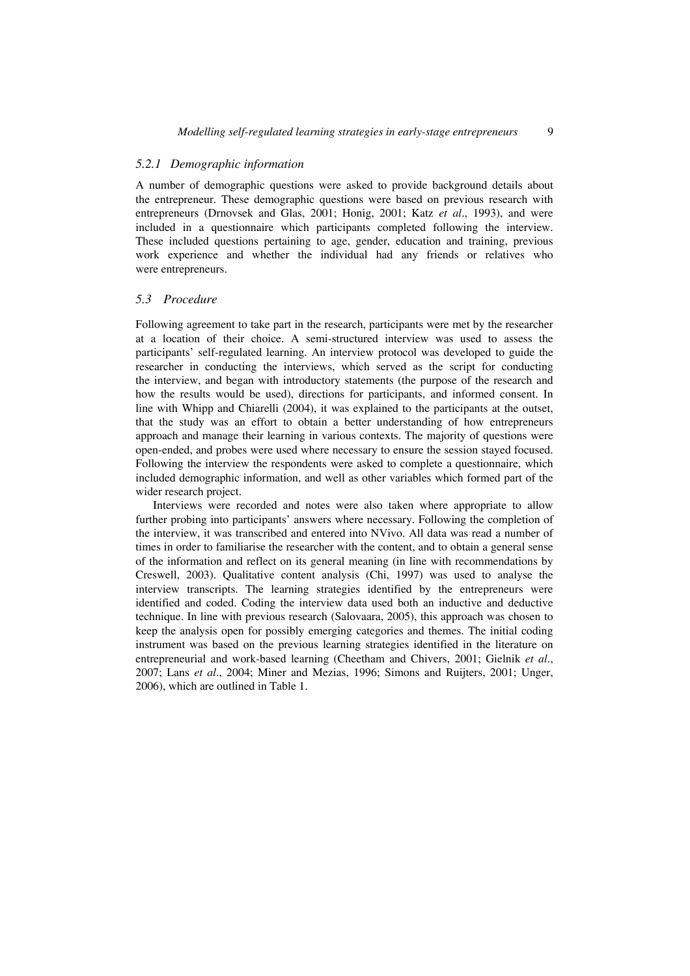## *5.2.1 Demographic information*

A number of demographic questions were asked to provide background details about the entrepreneur. These demographic questions were based on previous research with entrepreneurs (Drnovsek and Glas, 2001; Honig, 2001; Katz *et al*., 1993), and were included in a questionnaire which participants completed following the interview. These included questions pertaining to age, gender, education and training, previous work experience and whether the individual had any friends or relatives who were entrepreneurs.

## *5.3 Procedure*

Following agreement to take part in the research, participants were met by the researcher at a location of their choice. A semi-structured interview was used to assess the participants' self-regulated learning. An interview protocol was developed to guide the researcher in conducting the interviews, which served as the script for conducting the interview, and began with introductory statements (the purpose of the research and how the results would be used), directions for participants, and informed consent. In line with Whipp and Chiarelli (2004), it was explained to the participants at the outset, that the study was an effort to obtain a better understanding of how entrepreneurs approach and manage their learning in various contexts. The majority of questions were open-ended, and probes were used where necessary to ensure the session stayed focused. Following the interview the respondents were asked to complete a questionnaire, which included demographic information, and well as other variables which formed part of the wider research project.

Interviews were recorded and notes were also taken where appropriate to allow further probing into participants' answers where necessary. Following the completion of the interview, it was transcribed and entered into NVivo. All data was read a number of times in order to familiarise the researcher with the content, and to obtain a general sense of the information and reflect on its general meaning (in line with recommendations by Creswell, 2003). Qualitative content analysis (Chi, 1997) was used to analyse the interview transcripts. The learning strategies identified by the entrepreneurs were identified and coded. Coding the interview data used both an inductive and deductive technique. In line with previous research (Salovaara, 2005), this approach was chosen to keep the analysis open for possibly emerging categories and themes. The initial coding instrument was based on the previous learning strategies identified in the literature on entrepreneurial and work-based learning (Cheetham and Chivers, 2001; Gielnik *et al*., 2007; Lans *et al*., 2004; Miner and Mezias, 1996; Simons and Ruijters, 2001; Unger, 2006), which are outlined in Table 1.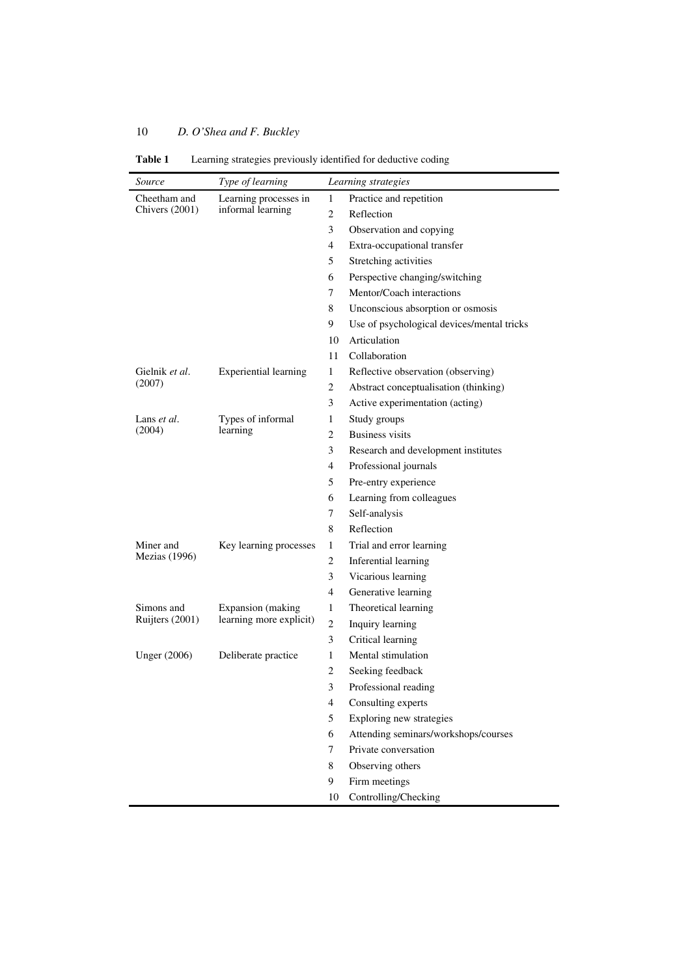| Table 1 | Learning strategies previously identified for deductive coding |
|---------|----------------------------------------------------------------|
|---------|----------------------------------------------------------------|

| Source               | Type of learning             |                | Learning strategies                        |
|----------------------|------------------------------|----------------|--------------------------------------------|
| Cheetham and         | Learning processes in        | 1              | Practice and repetition                    |
| Chivers $(2001)$     | informal learning            | 2              | Reflection                                 |
|                      |                              | 3              | Observation and copying                    |
|                      |                              | 4              | Extra-occupational transfer                |
|                      |                              | 5              | Stretching activities                      |
|                      |                              | 6              | Perspective changing/switching             |
|                      |                              | 7              | Mentor/Coach interactions                  |
|                      |                              | 8              | Unconscious absorption or osmosis          |
|                      |                              | 9              | Use of psychological devices/mental tricks |
|                      |                              | 10             | Articulation                               |
|                      |                              | 11             | Collaboration                              |
| Gielnik et al.       | <b>Experiential learning</b> | 1              | Reflective observation (observing)         |
| (2007)               |                              | $\overline{2}$ | Abstract conceptualisation (thinking)      |
|                      |                              | 3              | Active experimentation (acting)            |
| Lans et al.          | Types of informal            | 1              | Study groups                               |
| (2004)               | learning                     | 2              | <b>Business visits</b>                     |
|                      |                              | 3              | Research and development institutes        |
|                      |                              | 4              | Professional journals                      |
|                      |                              | 5              | Pre-entry experience                       |
|                      |                              | 6              | Learning from colleagues                   |
|                      |                              | 7              | Self-analysis                              |
|                      |                              | 8              | Reflection                                 |
| Miner and            | Key learning processes       | 1              | Trial and error learning                   |
| <b>Mezias</b> (1996) |                              | 2              | Inferential learning                       |
|                      |                              | 3              | Vicarious learning                         |
|                      |                              | 4              | Generative learning                        |
| Simons and           | Expansion (making            | 1              | Theoretical learning                       |
| Ruijters (2001)      | learning more explicit)      | $\overline{2}$ | Inquiry learning                           |
|                      |                              | 3              | Critical learning                          |
| <b>Unger</b> (2006)  | Deliberate practice          | 1              | Mental stimulation                         |
|                      |                              | 2              | Seeking feedback                           |
|                      |                              | 3              | Professional reading                       |
|                      |                              | 4              | Consulting experts                         |
|                      |                              | 5              | Exploring new strategies                   |
|                      |                              | 6              | Attending seminars/workshops/courses       |
|                      |                              | 7              | Private conversation                       |
|                      |                              | 8              | Observing others                           |
|                      |                              | 9              | Firm meetings                              |
|                      |                              | 10             | Controlling/Checking                       |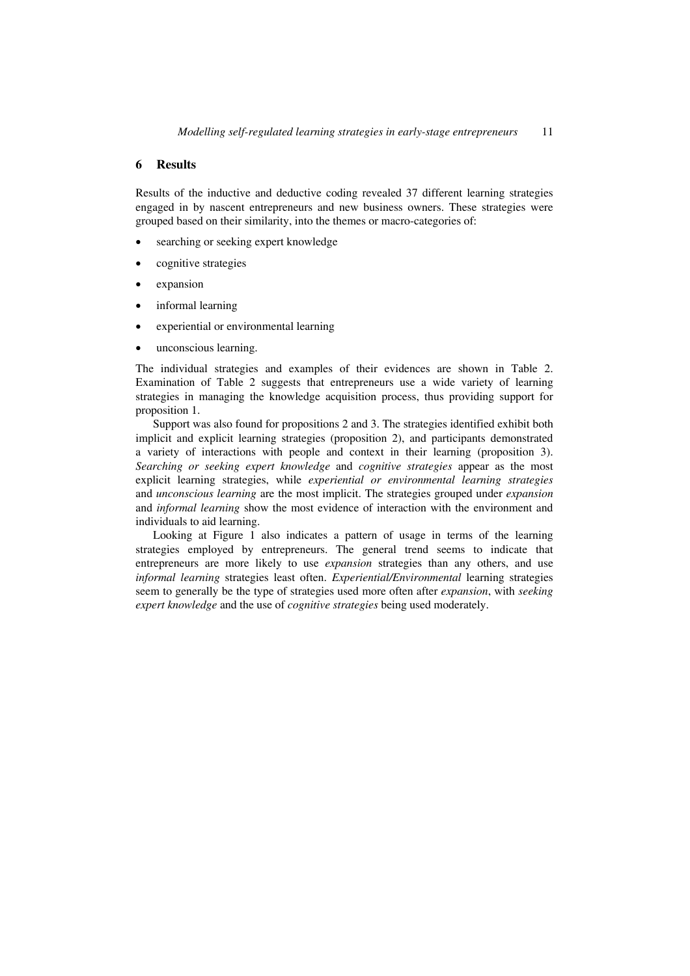## **6 Results**

Results of the inductive and deductive coding revealed 37 different learning strategies engaged in by nascent entrepreneurs and new business owners. These strategies were grouped based on their similarity, into the themes or macro-categories of:

- searching or seeking expert knowledge
- cognitive strategies
- expansion
- informal learning
- experiential or environmental learning
- unconscious learning.

The individual strategies and examples of their evidences are shown in Table 2. Examination of Table 2 suggests that entrepreneurs use a wide variety of learning strategies in managing the knowledge acquisition process, thus providing support for proposition 1.

Support was also found for propositions 2 and 3. The strategies identified exhibit both implicit and explicit learning strategies (proposition 2), and participants demonstrated a variety of interactions with people and context in their learning (proposition 3). *Searching or seeking expert knowledge* and *cognitive strategies* appear as the most explicit learning strategies, while *experiential or environmental learning strategies* and *unconscious learning* are the most implicit. The strategies grouped under *expansion* and *informal learning* show the most evidence of interaction with the environment and individuals to aid learning.

Looking at Figure 1 also indicates a pattern of usage in terms of the learning strategies employed by entrepreneurs. The general trend seems to indicate that entrepreneurs are more likely to use *expansion* strategies than any others, and use *informal learning* strategies least often. *Experiential/Environmental* learning strategies seem to generally be the type of strategies used more often after *expansion*, with *seeking expert knowledge* and the use of *cognitive strategies* being used moderately.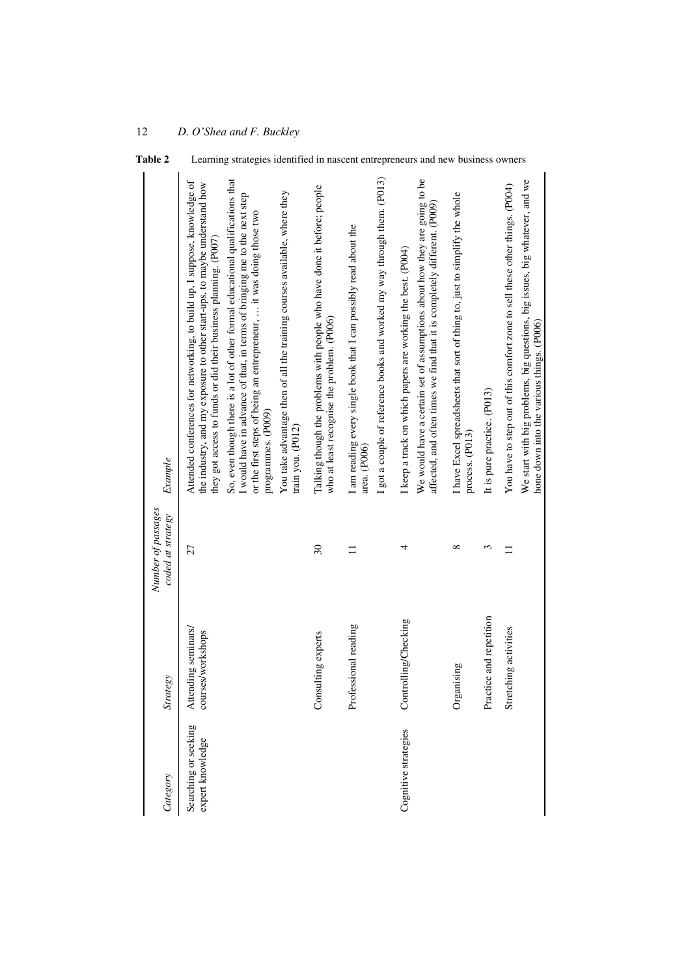| Category                                 | $\Omega_{\tilde{c}}$<br><b>Strate</b>    | Number of passages<br>coded at strategy | Example                                                                                                                                                                                                                                                                                                                                                                                  |
|------------------------------------------|------------------------------------------|-----------------------------------------|------------------------------------------------------------------------------------------------------------------------------------------------------------------------------------------------------------------------------------------------------------------------------------------------------------------------------------------------------------------------------------------|
| Searching or seeking<br>expert knowledge | Attending seminars/<br>courses/workshops | 27                                      | So, even though there is a lot of other formal educational qualifications that<br>Attended conferences for networking, to build up, I suppose, knowledge of<br>the industry, and my exposure to other start-ups, to maybe understand how<br>I would have in advance of that, in terms of bringing me to the next step<br>they got access to funds or did their business planning. (P007) |
|                                          |                                          |                                         | You take advantage then of all the training courses available, where they<br>or the first steps of being an entrepreneur,  it was doing those two<br>programmes. (P009)<br>train you. (P012)                                                                                                                                                                                             |
|                                          | Consulting experts                       | $\overline{30}$                         | Talking though the problems with people who have done it before; people<br>who at least recognise the problem. (P006)                                                                                                                                                                                                                                                                    |
|                                          | Professional reading                     |                                         | I am reading every single book that I can possibly read about the<br>area. (P006)                                                                                                                                                                                                                                                                                                        |
|                                          |                                          |                                         | I got a couple of reference books and worked my way through them. (P013)                                                                                                                                                                                                                                                                                                                 |
| Cognitive strategies                     | Controlling/Checking                     | 4                                       | We would have a certain set of assumptions about how they are going to be<br>affected, and often times we find that it is completely different. (P009)<br>I keep a track on which papers are working the best. (P004)                                                                                                                                                                    |
|                                          | Organising                               | $^{\circ}$                              | I have Excel spreadsheets that sort of thing to, just to simplify the whole<br>process. (P013)                                                                                                                                                                                                                                                                                           |
|                                          | Practice and repetition                  | 3                                       | It is pure practice. (P013)                                                                                                                                                                                                                                                                                                                                                              |
|                                          | Stretching activities                    | Ξ                                       | You have to step out of this comfort zone to sell these other things. (P004)                                                                                                                                                                                                                                                                                                             |
|                                          |                                          |                                         | We start with big problems, big questions, big issues, big whatever, and we<br>hone down into the various things. (P006)                                                                                                                                                                                                                                                                 |

## **Table 2** Learning strategies identified in nascent entrepreneurs and new business owners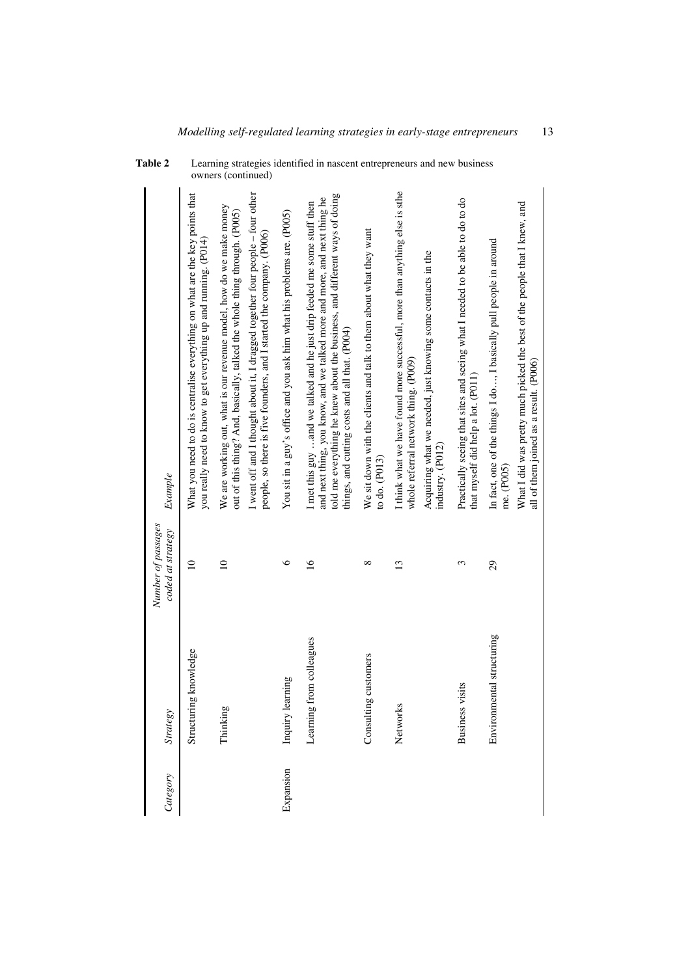| Category  | <b>Strategy</b>           | Number of passages<br>coded at strategy | Example                                                                                                                                                                                                                                                                                                    |
|-----------|---------------------------|-----------------------------------------|------------------------------------------------------------------------------------------------------------------------------------------------------------------------------------------------------------------------------------------------------------------------------------------------------------|
|           | Structuring knowledge     | $\overline{a}$                          | What you need to do is centralise everything on what are the key points that<br>you really need to know to get everything up and running. (P014)                                                                                                                                                           |
|           | Thinking                  | $\supseteq$                             | I went off and I thought about it, I dragged together four people - four other<br>We are working out, what is our revenue model, how do we make money<br>out of this thing? And, basically, talked the whole thing through. (P005)<br>people, so there is five founders, and I started the company. (P006) |
| Expansion | Inquiry learning          | ७                                       | You sit in a guy's office and you ask him what his problems are. (P005)                                                                                                                                                                                                                                    |
|           | Learning from colleagues  | $\frac{6}{1}$                           | told me everything he knew about the business, and different ways of doing<br>and next thing, you know, and we talked more and more, and next thing he<br>I met this guy and we talked and he just drip feeded me some stuff then<br>things, and cutting costs and all that. (P004)                        |
|           | customers<br>Consulting   | ∞                                       | We sit down with the clients and talk to them about what they want<br>to do. (P013)                                                                                                                                                                                                                        |
|           | Networks                  | $\mathbf{13}$                           | I think what we have found more successful, more than anything else is sthe<br>Acquiring what we needed, just knowing some contacts in the<br>whole referral network thing. (P009)<br>industry. (P012)                                                                                                     |
|           | sits<br>Business vi       | ξ                                       | Practically seeing that sites and seeing what I needed to be able to do to do<br>that myself did help a lot. (P011)                                                                                                                                                                                        |
|           | Environmental structuring | 29                                      | What I did was pretty much picked the best of the people that I knew, and<br>In fact, one of the things I do, I basically pull people in around<br>all of them joined as a result. (P006)<br>me. (P005)                                                                                                    |

**Table 2** Learning strategies identified in nascent entrepreneurs and new business owners (continued)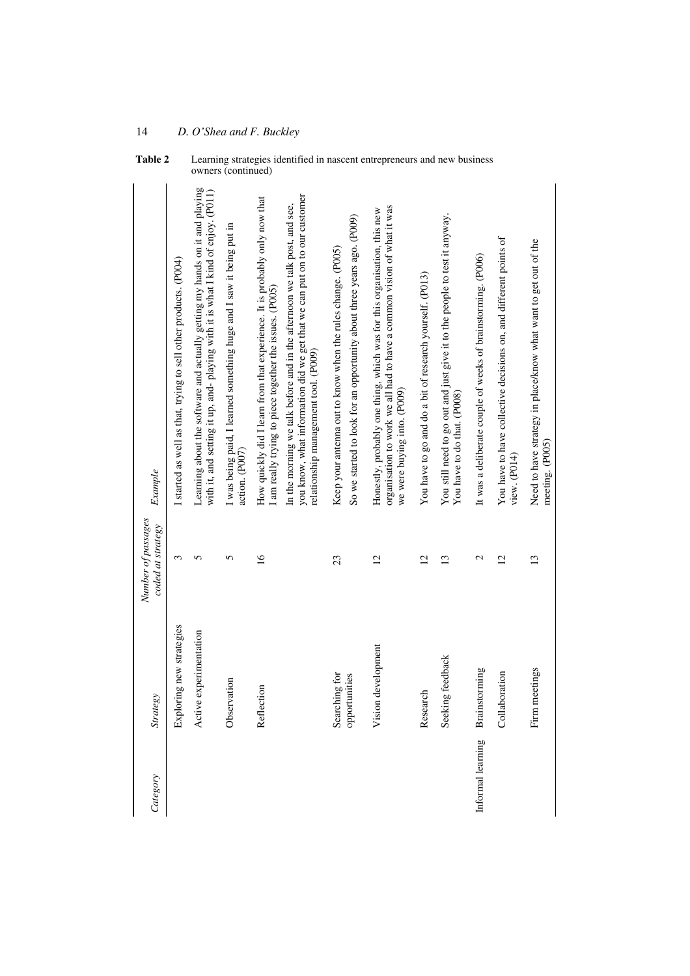| Category          | <b>Strategy</b>                | Number of passages<br>coded at strategy | Example                                                                                                                                                                                                                                                                                                                                |
|-------------------|--------------------------------|-----------------------------------------|----------------------------------------------------------------------------------------------------------------------------------------------------------------------------------------------------------------------------------------------------------------------------------------------------------------------------------------|
|                   | Exploring new strategies       | ω                                       | I started as well as that, trying to sell other products. (P004)                                                                                                                                                                                                                                                                       |
|                   | experimentation<br>Active      | 5                                       | Learning about the software and actually getting my hands on it and playing<br>with it, and setting it up, and-playing with it is what I kind of enjoy. (P011)                                                                                                                                                                         |
|                   | Observation                    | 5                                       | I was being paid, I learned something huge and I saw it being put in<br>action. (P007)                                                                                                                                                                                                                                                 |
|                   | Reflection                     | $\frac{6}{1}$                           | you know, what information did we get that we can put on to our customer<br>How quickly did I learn from that experience. It is probably only now that<br>In the morning we talk before and in the afternoon we talk post, and see,<br>I am really trying to piece together the issues. (P005)<br>relationship management tool. (P009) |
|                   | Searching for<br>opportunities | 23                                      | So we started to look for an opportunity about three years ago. (P009)<br>Keep your antenna out to know when the rules change. (P005)                                                                                                                                                                                                  |
|                   | development<br>Vision          | $\overline{2}$                          | organisation to work we all had to have a common vision of what it was<br>Honestly, probably one thing, which was for this organisation, this new<br>we were buying into. (P009)                                                                                                                                                       |
|                   | Research                       | $\overline{c}$                          | You have to go and do a bit of research yourself. (P013)                                                                                                                                                                                                                                                                               |
|                   | Seeking feedback               | $\overline{13}$                         | You still need to go out and just give it to the people to test it anyway.<br>You have to do that. (P008)                                                                                                                                                                                                                              |
| Informal learning | Brainstorming                  | $\mathbf 2$                             | It was a deliberate couple of weeks of brainstorming. (P006)                                                                                                                                                                                                                                                                           |
|                   | Collaboration                  | $\overline{c}$                          | You have to have collective decisions on, and different points of<br>view. $($ P $014)$                                                                                                                                                                                                                                                |
|                   | Firm meetings                  | 13                                      | Need to have strategy in place/know what want to get out of the<br>meeting. (P005)                                                                                                                                                                                                                                                     |

**Table 2** Learning strategies identified in nascent entrepreneurs and new business owners (continued)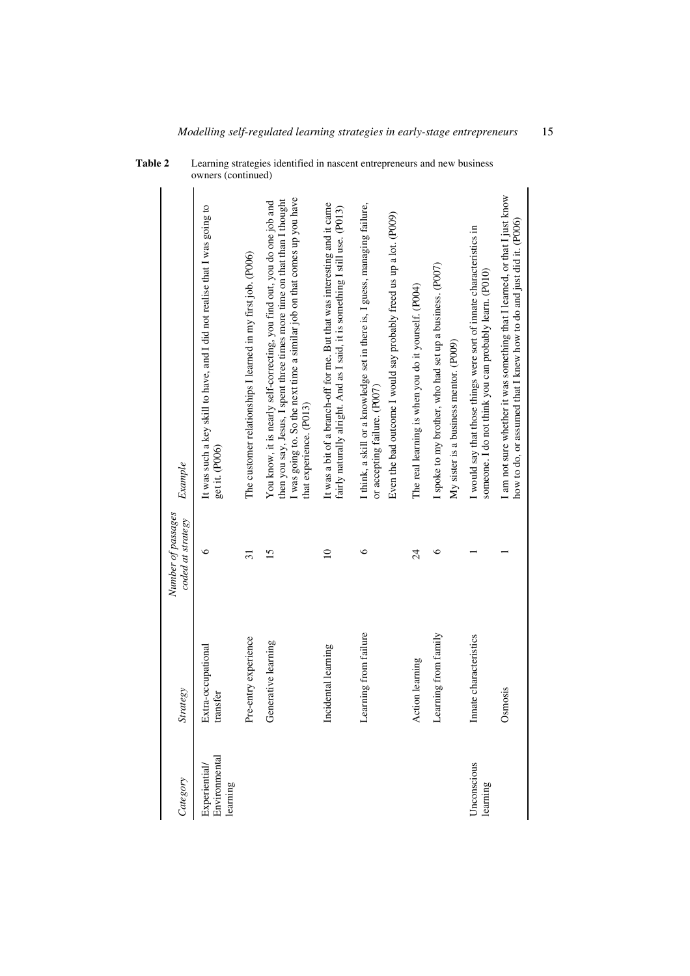| Category                                   | <b>Strategy</b>                | Number of passages<br>coded at strategy | Example                                                                                                                                                                                                                                                      |
|--------------------------------------------|--------------------------------|-----------------------------------------|--------------------------------------------------------------------------------------------------------------------------------------------------------------------------------------------------------------------------------------------------------------|
| Environmental<br>Experiential/<br>learning | Extra-occupational<br>transfer | $\circ$                                 | It was such a key skill to have, and I did not realise that I was going to<br>get it. (P006)                                                                                                                                                                 |
|                                            | Pre-entry experience           | $\overline{31}$                         | The customer relationships I learned in my first job. (P006)                                                                                                                                                                                                 |
|                                            | Generative learning            | $\overline{15}$                         | I was going to. So the next time a similar job on that comes up you have<br>then you say, Jesus, I spent three times more time on that than I thought<br>You know, it is nearly self-correcting, you find out, you do one job and<br>that experience. (P013) |
|                                            | Incidental learning            | $\supseteq$                             | It was a bit of a branch-off for me. But that was interesting and it came<br>fairly naturally alright. And as I said, it is something I still use. (P013)                                                                                                    |
|                                            | Learning from failure          | $\circ$                                 | I think, a skill or a knowledge set in there is, I guess, managing failure,<br>Even the bad outcome I would say probably freed us up a lot. (P009)<br>or accepting failure. (P007)                                                                           |
|                                            | Action learning                | $\overline{24}$                         | The real learning is when you do it yourself. (P004)                                                                                                                                                                                                         |
|                                            | Learning from family           | ७                                       | I spoke to my brother, who had set up a business. (P007)<br>My sister is a business mentor. (P009)                                                                                                                                                           |
| Unconscious<br>learning                    | Innate characteristics         |                                         | I would say that those things were sort of innate characteristics in<br>someone. I do not think you can probably learn. (P010)                                                                                                                               |
|                                            | Osmosis                        |                                         | I am not sure whether it was something that I learned, or that I just know<br>how to do, or assumed that I knew how to do and just did it. (P006)                                                                                                            |

**Table 2** Learning strategies identified in nascent entrepreneurs and new business owners (continued)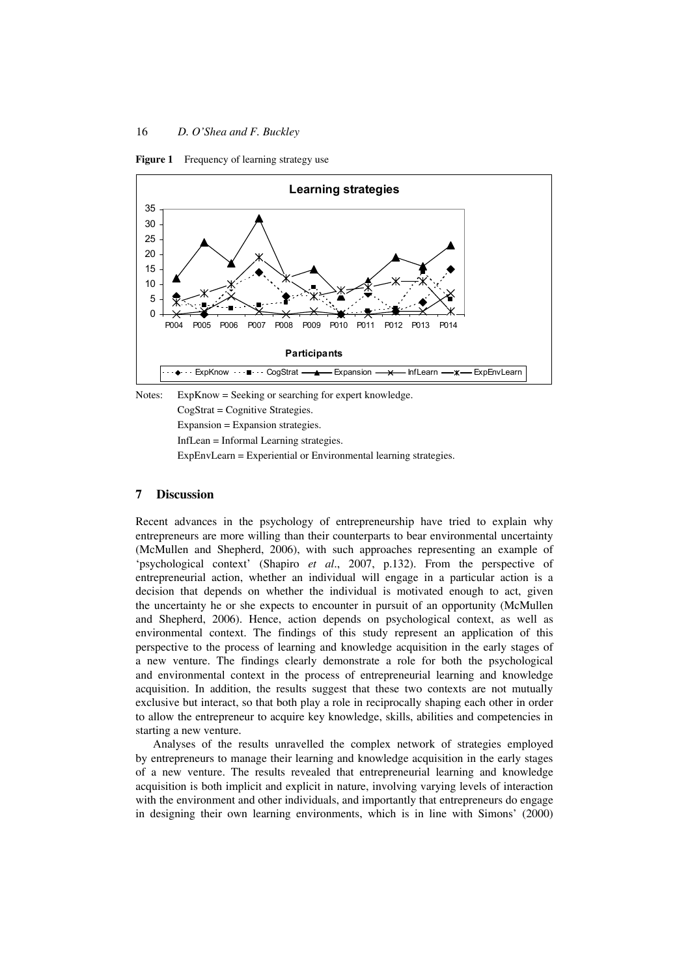



Notes: ExpKnow = Seeking or searching for expert knowledge.

CogStrat = Cognitive Strategies.

Expansion = Expansion strategies.

InfLean = Informal Learning strategies.

ExpEnvLearn = Experiential or Environmental learning strategies.

## **7 Discussion**

Recent advances in the psychology of entrepreneurship have tried to explain why entrepreneurs are more willing than their counterparts to bear environmental uncertainty (McMullen and Shepherd, 2006), with such approaches representing an example of 'psychological context' (Shapiro *et al*., 2007, p.132). From the perspective of entrepreneurial action, whether an individual will engage in a particular action is a decision that depends on whether the individual is motivated enough to act, given the uncertainty he or she expects to encounter in pursuit of an opportunity (McMullen and Shepherd, 2006). Hence, action depends on psychological context, as well as environmental context. The findings of this study represent an application of this perspective to the process of learning and knowledge acquisition in the early stages of a new venture. The findings clearly demonstrate a role for both the psychological and environmental context in the process of entrepreneurial learning and knowledge acquisition. In addition, the results suggest that these two contexts are not mutually exclusive but interact, so that both play a role in reciprocally shaping each other in order to allow the entrepreneur to acquire key knowledge, skills, abilities and competencies in starting a new venture.

Analyses of the results unravelled the complex network of strategies employed by entrepreneurs to manage their learning and knowledge acquisition in the early stages of a new venture. The results revealed that entrepreneurial learning and knowledge acquisition is both implicit and explicit in nature, involving varying levels of interaction with the environment and other individuals, and importantly that entrepreneurs do engage in designing their own learning environments, which is in line with Simons' (2000)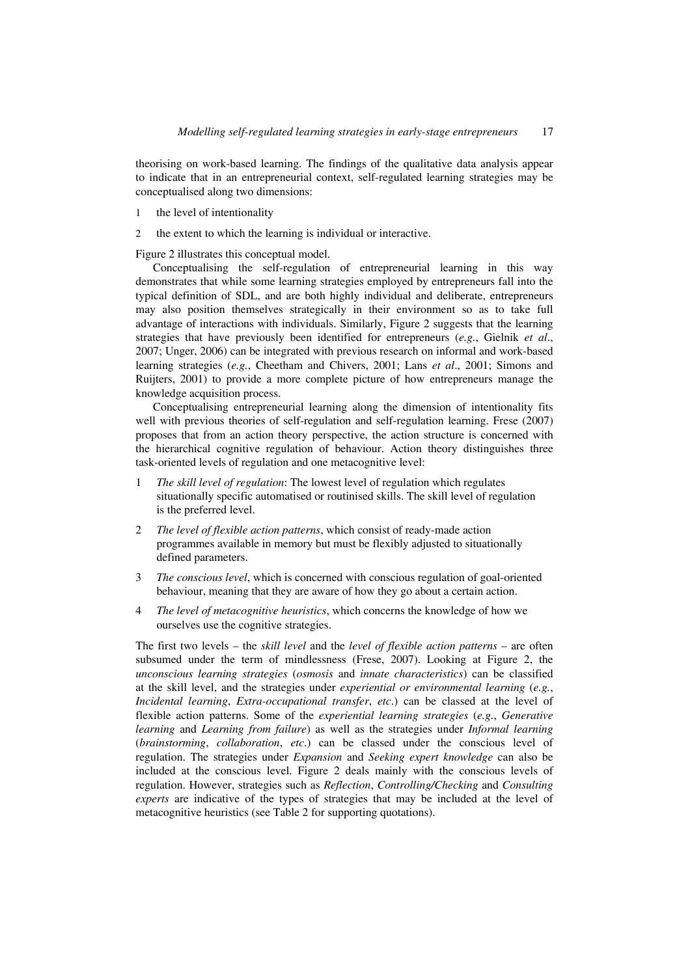theorising on work-based learning. The findings of the qualitative data analysis appear to indicate that in an entrepreneurial context, self-regulated learning strategies may be conceptualised along two dimensions:

- 1 the level of intentionality
- 2 the extent to which the learning is individual or interactive.

Figure 2 illustrates this conceptual model.

Conceptualising the self-regulation of entrepreneurial learning in this way demonstrates that while some learning strategies employed by entrepreneurs fall into the typical definition of SDL, and are both highly individual and deliberate, entrepreneurs may also position themselves strategically in their environment so as to take full advantage of interactions with individuals. Similarly, Figure 2 suggests that the learning strategies that have previously been identified for entrepreneurs (*e.g.*, Gielnik *et al*., 2007; Unger, 2006) can be integrated with previous research on informal and work-based learning strategies (*e.g.*, Cheetham and Chivers, 2001; Lans *et al*., 2001; Simons and Ruijters, 2001) to provide a more complete picture of how entrepreneurs manage the knowledge acquisition process.

Conceptualising entrepreneurial learning along the dimension of intentionality fits well with previous theories of self-regulation and self-regulation learning. Frese (2007) proposes that from an action theory perspective, the action structure is concerned with the hierarchical cognitive regulation of behaviour. Action theory distinguishes three task-oriented levels of regulation and one metacognitive level:

- 1 *The skill level of regulation*: The lowest level of regulation which regulates situationally specific automatised or routinised skills. The skill level of regulation is the preferred level.
- 2 *The level of flexible action patterns*, which consist of ready-made action programmes available in memory but must be flexibly adjusted to situationally defined parameters.
- 3 *The conscious level*, which is concerned with conscious regulation of goal-oriented behaviour, meaning that they are aware of how they go about a certain action.
- 4 *The level of metacognitive heuristics*, which concerns the knowledge of how we ourselves use the cognitive strategies.

The first two levels – the *skill level* and the *level of flexible action patterns* – are often subsumed under the term of mindlessness (Frese, 2007). Looking at Figure 2, the *unconscious learning strategies* (*osmosis* and *innate characteristics*) can be classified at the skill level, and the strategies under *experiential or environmental learning* (*e.g.*, *Incidental learning*, *Extra-occupational transfer*, *etc*.) can be classed at the level of flexible action patterns. Some of the *experiential learning strategies* (*e.g.*, *Generative learning* and *Learning from failure*) as well as the strategies under *Informal learning* (*brainstorming*, *collaboration*, *etc*.) can be classed under the conscious level of regulation. The strategies under *Expansion* and *Seeking expert knowledge* can also be included at the conscious level. Figure 2 deals mainly with the conscious levels of regulation. However, strategies such as *Reflection*, *Controlling/Checking* and *Consulting experts* are indicative of the types of strategies that may be included at the level of metacognitive heuristics (see Table 2 for supporting quotations).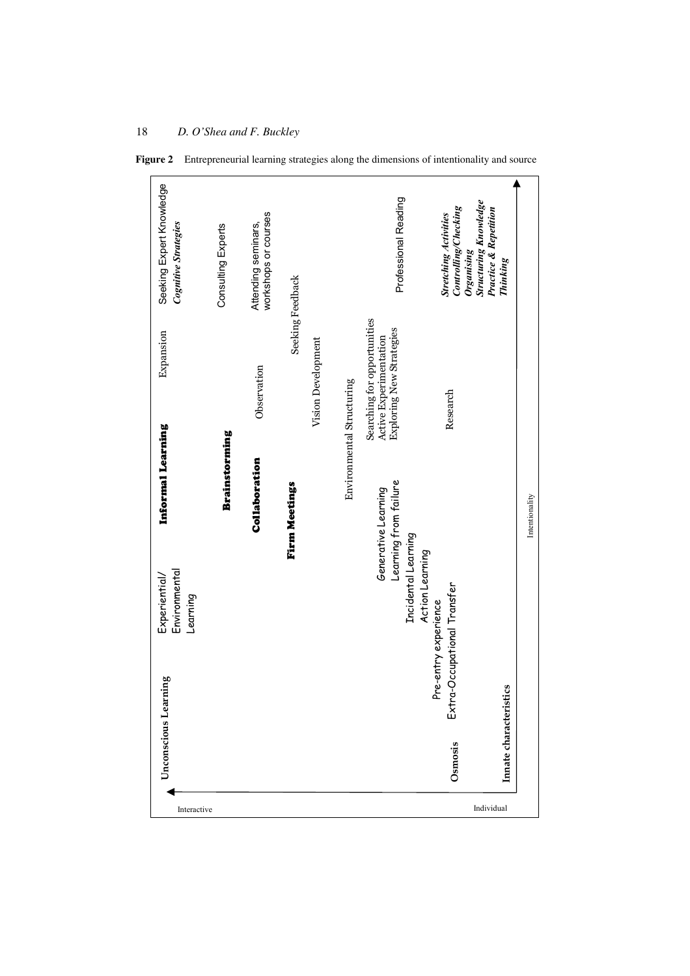

**Figure 2** Entrepreneurial learning strategies along the dimensions of intentionality and source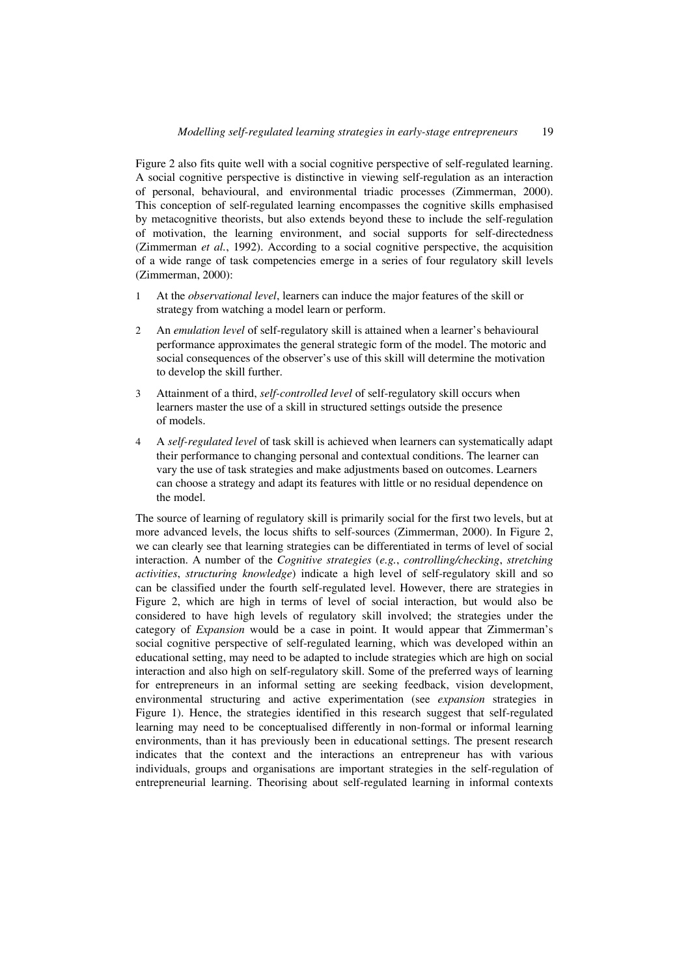Figure 2 also fits quite well with a social cognitive perspective of self-regulated learning. A social cognitive perspective is distinctive in viewing self-regulation as an interaction of personal, behavioural, and environmental triadic processes (Zimmerman, 2000). This conception of self-regulated learning encompasses the cognitive skills emphasised by metacognitive theorists, but also extends beyond these to include the self-regulation of motivation, the learning environment, and social supports for self-directedness (Zimmerman *et al.*, 1992). According to a social cognitive perspective, the acquisition of a wide range of task competencies emerge in a series of four regulatory skill levels (Zimmerman, 2000):

- 1 At the *observational level*, learners can induce the major features of the skill or strategy from watching a model learn or perform.
- 2 An *emulation level* of self-regulatory skill is attained when a learner's behavioural performance approximates the general strategic form of the model. The motoric and social consequences of the observer's use of this skill will determine the motivation to develop the skill further.
- 3 Attainment of a third, *self-controlled level* of self-regulatory skill occurs when learners master the use of a skill in structured settings outside the presence of models.
- 4 A *self-regulated level* of task skill is achieved when learners can systematically adapt their performance to changing personal and contextual conditions. The learner can vary the use of task strategies and make adjustments based on outcomes. Learners can choose a strategy and adapt its features with little or no residual dependence on the model.

The source of learning of regulatory skill is primarily social for the first two levels, but at more advanced levels, the locus shifts to self-sources (Zimmerman, 2000). In Figure 2, we can clearly see that learning strategies can be differentiated in terms of level of social interaction. A number of the *Cognitive strategies* (*e.g.*, *controlling/checking*, *stretching activities*, *structuring knowledge*) indicate a high level of self-regulatory skill and so can be classified under the fourth self-regulated level. However, there are strategies in Figure 2, which are high in terms of level of social interaction, but would also be considered to have high levels of regulatory skill involved; the strategies under the category of *Expansion* would be a case in point. It would appear that Zimmerman's social cognitive perspective of self-regulated learning, which was developed within an educational setting, may need to be adapted to include strategies which are high on social interaction and also high on self-regulatory skill. Some of the preferred ways of learning for entrepreneurs in an informal setting are seeking feedback, vision development, environmental structuring and active experimentation (see *expansion* strategies in Figure 1). Hence, the strategies identified in this research suggest that self-regulated learning may need to be conceptualised differently in non-formal or informal learning environments, than it has previously been in educational settings. The present research indicates that the context and the interactions an entrepreneur has with various individuals, groups and organisations are important strategies in the self-regulation of entrepreneurial learning. Theorising about self-regulated learning in informal contexts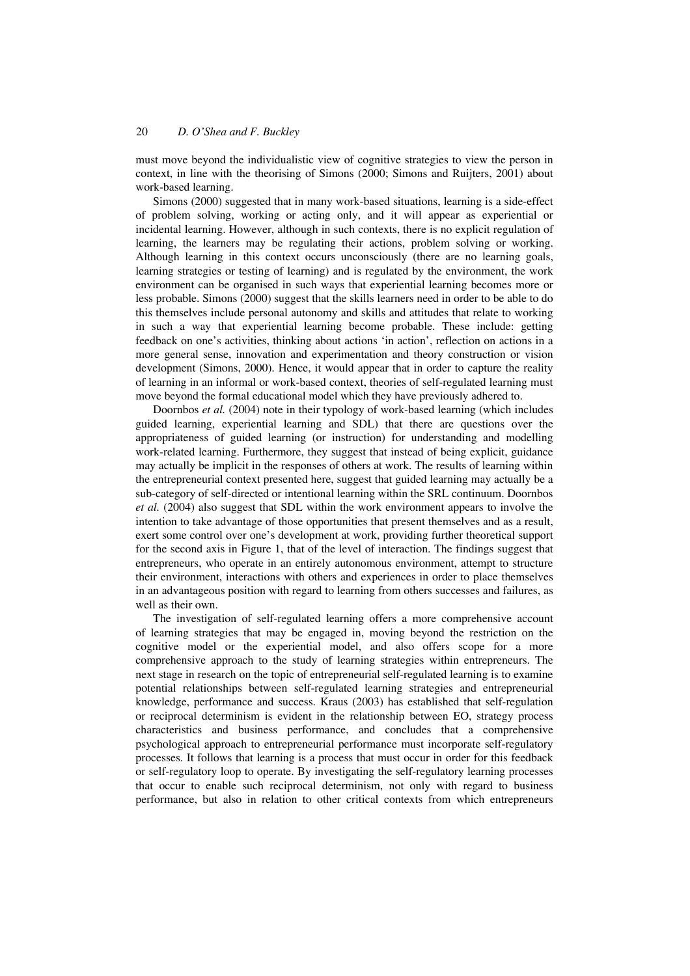must move beyond the individualistic view of cognitive strategies to view the person in context, in line with the theorising of Simons (2000; Simons and Ruijters, 2001) about work-based learning.

Simons (2000) suggested that in many work-based situations, learning is a side-effect of problem solving, working or acting only, and it will appear as experiential or incidental learning. However, although in such contexts, there is no explicit regulation of learning, the learners may be regulating their actions, problem solving or working. Although learning in this context occurs unconsciously (there are no learning goals, learning strategies or testing of learning) and is regulated by the environment, the work environment can be organised in such ways that experiential learning becomes more or less probable. Simons (2000) suggest that the skills learners need in order to be able to do this themselves include personal autonomy and skills and attitudes that relate to working in such a way that experiential learning become probable. These include: getting feedback on one's activities, thinking about actions 'in action', reflection on actions in a more general sense, innovation and experimentation and theory construction or vision development (Simons, 2000). Hence, it would appear that in order to capture the reality of learning in an informal or work-based context, theories of self-regulated learning must move beyond the formal educational model which they have previously adhered to.

Doornbos *et al.* (2004) note in their typology of work-based learning (which includes guided learning, experiential learning and SDL) that there are questions over the appropriateness of guided learning (or instruction) for understanding and modelling work-related learning. Furthermore, they suggest that instead of being explicit, guidance may actually be implicit in the responses of others at work. The results of learning within the entrepreneurial context presented here, suggest that guided learning may actually be a sub-category of self-directed or intentional learning within the SRL continuum. Doornbos *et al.* (2004) also suggest that SDL within the work environment appears to involve the intention to take advantage of those opportunities that present themselves and as a result, exert some control over one's development at work, providing further theoretical support for the second axis in Figure 1, that of the level of interaction. The findings suggest that entrepreneurs, who operate in an entirely autonomous environment, attempt to structure their environment, interactions with others and experiences in order to place themselves in an advantageous position with regard to learning from others successes and failures, as well as their own.

The investigation of self-regulated learning offers a more comprehensive account of learning strategies that may be engaged in, moving beyond the restriction on the cognitive model or the experiential model, and also offers scope for a more comprehensive approach to the study of learning strategies within entrepreneurs. The next stage in research on the topic of entrepreneurial self-regulated learning is to examine potential relationships between self-regulated learning strategies and entrepreneurial knowledge, performance and success. Kraus (2003) has established that self-regulation or reciprocal determinism is evident in the relationship between EO, strategy process characteristics and business performance, and concludes that a comprehensive psychological approach to entrepreneurial performance must incorporate self-regulatory processes. It follows that learning is a process that must occur in order for this feedback or self-regulatory loop to operate. By investigating the self-regulatory learning processes that occur to enable such reciprocal determinism, not only with regard to business performance, but also in relation to other critical contexts from which entrepreneurs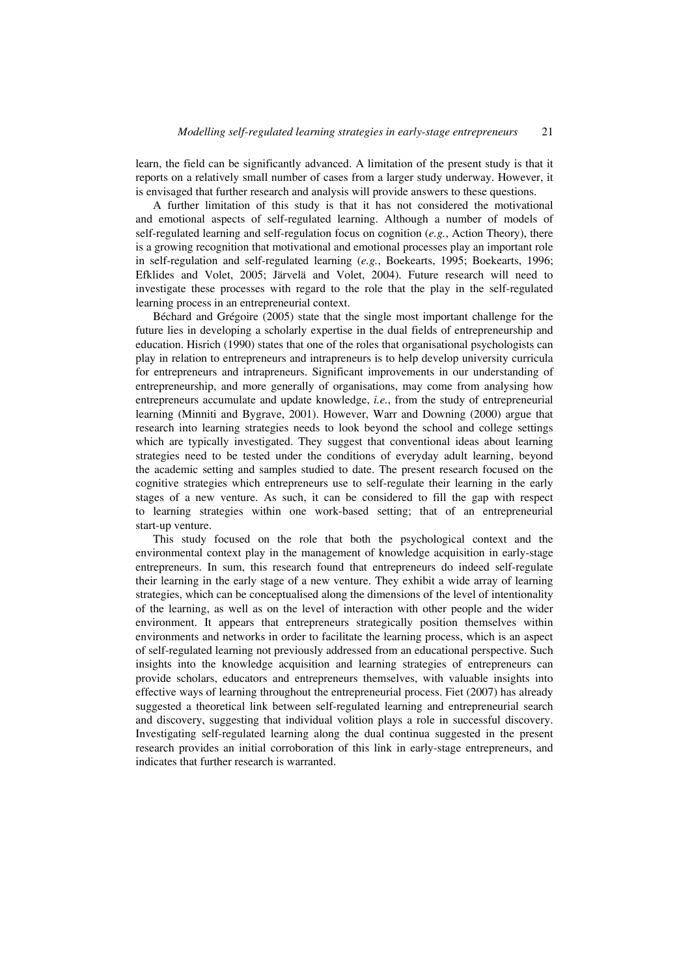learn, the field can be significantly advanced. A limitation of the present study is that it reports on a relatively small number of cases from a larger study underway. However, it is envisaged that further research and analysis will provide answers to these questions.

A further limitation of this study is that it has not considered the motivational and emotional aspects of self-regulated learning. Although a number of models of self-regulated learning and self-regulation focus on cognition (*e.g.*, Action Theory), there is a growing recognition that motivational and emotional processes play an important role in self-regulation and self-regulated learning (*e.g.*, Boekearts, 1995; Boekearts, 1996; Efklides and Volet, 2005; Järvelä and Volet, 2004). Future research will need to investigate these processes with regard to the role that the play in the self-regulated learning process in an entrepreneurial context.

Béchard and Grégoire (2005) state that the single most important challenge for the future lies in developing a scholarly expertise in the dual fields of entrepreneurship and education. Hisrich (1990) states that one of the roles that organisational psychologists can play in relation to entrepreneurs and intrapreneurs is to help develop university curricula for entrepreneurs and intrapreneurs. Significant improvements in our understanding of entrepreneurship, and more generally of organisations, may come from analysing how entrepreneurs accumulate and update knowledge, *i.e.*, from the study of entrepreneurial learning (Minniti and Bygrave, 2001). However, Warr and Downing (2000) argue that research into learning strategies needs to look beyond the school and college settings which are typically investigated. They suggest that conventional ideas about learning strategies need to be tested under the conditions of everyday adult learning, beyond the academic setting and samples studied to date. The present research focused on the cognitive strategies which entrepreneurs use to self-regulate their learning in the early stages of a new venture. As such, it can be considered to fill the gap with respect to learning strategies within one work-based setting; that of an entrepreneurial start-up venture.

This study focused on the role that both the psychological context and the environmental context play in the management of knowledge acquisition in early-stage entrepreneurs. In sum, this research found that entrepreneurs do indeed self-regulate their learning in the early stage of a new venture. They exhibit a wide array of learning strategies, which can be conceptualised along the dimensions of the level of intentionality of the learning, as well as on the level of interaction with other people and the wider environment. It appears that entrepreneurs strategically position themselves within environments and networks in order to facilitate the learning process, which is an aspect of self-regulated learning not previously addressed from an educational perspective. Such insights into the knowledge acquisition and learning strategies of entrepreneurs can provide scholars, educators and entrepreneurs themselves, with valuable insights into effective ways of learning throughout the entrepreneurial process. Fiet (2007) has already suggested a theoretical link between self-regulated learning and entrepreneurial search and discovery, suggesting that individual volition plays a role in successful discovery. Investigating self-regulated learning along the dual continua suggested in the present research provides an initial corroboration of this link in early-stage entrepreneurs, and indicates that further research is warranted.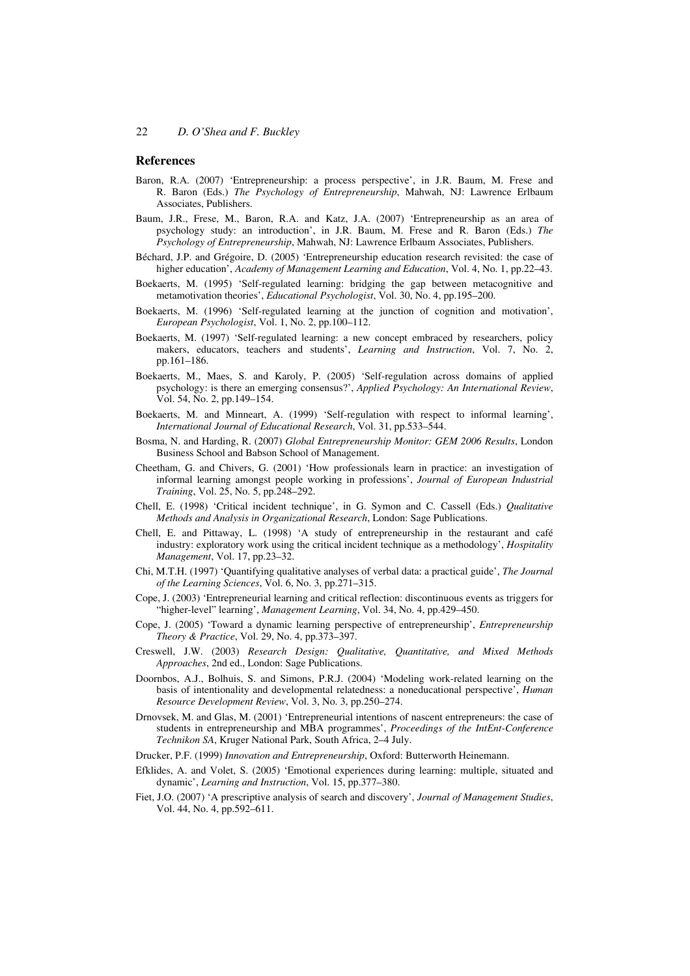#### **References**

- Baron, R.A. (2007) 'Entrepreneurship: a process perspective', in J.R. Baum, M. Frese and R. Baron (Eds.) *The Psychology of Entrepreneurship*, Mahwah, NJ: Lawrence Erlbaum Associates, Publishers.
- Baum, J.R., Frese, M., Baron, R.A. and Katz, J.A. (2007) 'Entrepreneurship as an area of psychology study: an introduction', in J.R. Baum, M. Frese and R. Baron (Eds.) *The Psychology of Entrepreneurship*, Mahwah, NJ: Lawrence Erlbaum Associates, Publishers.
- Béchard, J.P. and Grégoire, D. (2005) 'Entrepreneurship education research revisited: the case of higher education', *Academy of Management Learning and Education*, Vol. 4, No. 1, pp.22–43.
- Boekaerts, M. (1995) 'Self-regulated learning: bridging the gap between metacognitive and metamotivation theories', *Educational Psychologist*, Vol. 30, No. 4, pp.195–200.
- Boekaerts, M. (1996) 'Self-regulated learning at the junction of cognition and motivation', *European Psychologist*, Vol. 1, No. 2, pp.100–112.
- Boekaerts, M. (1997) 'Self-regulated learning: a new concept embraced by researchers, policy makers, educators, teachers and students', *Learning and Instruction*, Vol. 7, No. 2, pp.161–186.
- Boekaerts, M., Maes, S. and Karoly, P. (2005) 'Self-regulation across domains of applied psychology: is there an emerging consensus?', *Applied Psychology: An International Review*, Vol. 54, No. 2, pp.149–154.
- Boekaerts, M. and Minneart, A. (1999) 'Self-regulation with respect to informal learning', *International Journal of Educational Research*, Vol. 31, pp.533–544.
- Bosma, N. and Harding, R. (2007) *Global Entrepreneurship Monitor: GEM 2006 Results*, London Business School and Babson School of Management.
- Cheetham, G. and Chivers, G. (2001) 'How professionals learn in practice: an investigation of informal learning amongst people working in professions', *Journal of European Industrial Training*, Vol. 25, No. 5, pp.248–292.
- Chell, E. (1998) 'Critical incident technique', in G. Symon and C. Cassell (Eds.) *Qualitative Methods and Analysis in Organizational Research*, London: Sage Publications.
- Chell, E. and Pittaway, L. (1998) 'A study of entrepreneurship in the restaurant and café industry: exploratory work using the critical incident technique as a methodology', *Hospitality Management*, Vol. 17, pp.23–32.
- Chi, M.T.H. (1997) 'Quantifying qualitative analyses of verbal data: a practical guide', *The Journal of the Learning Sciences*, Vol. 6, No. 3, pp.271–315.
- Cope, J. (2003) 'Entrepreneurial learning and critical reflection: discontinuous events as triggers for "higher-level" learning', *Management Learning*, Vol. 34, No. 4, pp.429–450.
- Cope, J. (2005) 'Toward a dynamic learning perspective of entrepreneurship', *Entrepreneurship Theory & Practice*, Vol. 29, No. 4, pp.373–397.
- Creswell, J.W. (2003) *Research Design: Qualitative, Quantitative, and Mixed Methods Approaches*, 2nd ed., London: Sage Publications.
- Doornbos, A.J., Bolhuis, S. and Simons, P.R.J. (2004) 'Modeling work-related learning on the basis of intentionality and developmental relatedness: a noneducational perspective', *Human Resource Development Review*, Vol. 3, No. 3, pp.250–274.
- Drnovsek, M. and Glas, M. (2001) 'Entrepreneurial intentions of nascent entrepreneurs: the case of students in entrepreneurship and MBA programmes', *Proceedings of the IntEnt-Conference Technikon SA*, Kruger National Park, South Africa, 2–4 July.
- Drucker, P.F. (1999) *Innovation and Entrepreneurship*, Oxford: Butterworth Heinemann.
- Efklides, A. and Volet, S. (2005) 'Emotional experiences during learning: multiple, situated and dynamic', *Learning and Instruction*, Vol. 15, pp.377–380.
- Fiet, J.O. (2007) 'A prescriptive analysis of search and discovery', *Journal of Management Studies*, Vol. 44, No. 4, pp.592–611.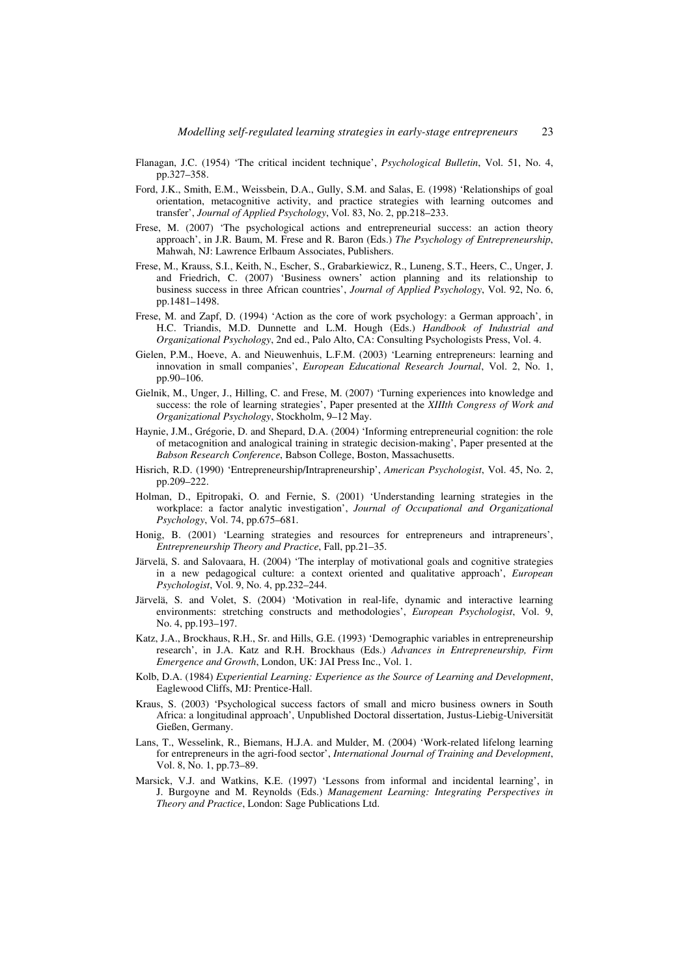- Flanagan, J.C. (1954) 'The critical incident technique', *Psychological Bulletin*, Vol. 51, No. 4, pp.327–358.
- Ford, J.K., Smith, E.M., Weissbein, D.A., Gully, S.M. and Salas, E. (1998) 'Relationships of goal orientation, metacognitive activity, and practice strategies with learning outcomes and transfer', *Journal of Applied Psychology*, Vol. 83, No. 2, pp.218–233.
- Frese, M. (2007) 'The psychological actions and entrepreneurial success: an action theory approach', in J.R. Baum, M. Frese and R. Baron (Eds.) *The Psychology of Entrepreneurship*, Mahwah, NJ: Lawrence Erlbaum Associates, Publishers.
- Frese, M., Krauss, S.I., Keith, N., Escher, S., Grabarkiewicz, R., Luneng, S.T., Heers, C., Unger, J. and Friedrich, C. (2007) 'Business owners' action planning and its relationship to business success in three African countries', *Journal of Applied Psychology*, Vol. 92, No. 6, pp.1481–1498.
- Frese, M. and Zapf, D. (1994) 'Action as the core of work psychology: a German approach', in H.C. Triandis, M.D. Dunnette and L.M. Hough (Eds.) *Handbook of Industrial and Organizational Psychology*, 2nd ed., Palo Alto, CA: Consulting Psychologists Press, Vol. 4.
- Gielen, P.M., Hoeve, A. and Nieuwenhuis, L.F.M. (2003) 'Learning entrepreneurs: learning and innovation in small companies', *European Educational Research Journal*, Vol. 2, No. 1, pp.90–106.
- Gielnik, M., Unger, J., Hilling, C. and Frese, M. (2007) 'Turning experiences into knowledge and success: the role of learning strategies', Paper presented at the *XIIIth Congress of Work and Organizational Psychology*, Stockholm, 9–12 May.
- Haynie, J.M., Grégorie, D. and Shepard, D.A. (2004) 'Informing entrepreneurial cognition: the role of metacognition and analogical training in strategic decision-making', Paper presented at the *Babson Research Conference*, Babson College, Boston, Massachusetts.
- Hisrich, R.D. (1990) 'Entrepreneurship/Intrapreneurship', *American Psychologist*, Vol. 45, No. 2, pp.209–222.
- Holman, D., Epitropaki, O. and Fernie, S. (2001) 'Understanding learning strategies in the workplace: a factor analytic investigation', *Journal of Occupational and Organizational Psychology*, Vol. 74, pp.675–681.
- Honig, B. (2001) 'Learning strategies and resources for entrepreneurs and intrapreneurs', *Entrepreneurship Theory and Practice*, Fall, pp.21–35.
- Järvelä, S. and Salovaara, H. (2004) 'The interplay of motivational goals and cognitive strategies in a new pedagogical culture: a context oriented and qualitative approach', *European Psychologist*, Vol. 9, No. 4, pp.232–244.
- Järvelä, S. and Volet, S. (2004) 'Motivation in real-life, dynamic and interactive learning environments: stretching constructs and methodologies', *European Psychologist*, Vol. 9, No. 4, pp.193–197.
- Katz, J.A., Brockhaus, R.H., Sr. and Hills, G.E. (1993) 'Demographic variables in entrepreneurship research', in J.A. Katz and R.H. Brockhaus (Eds.) *Advances in Entrepreneurship, Firm Emergence and Growth*, London, UK: JAI Press Inc., Vol. 1.
- Kolb, D.A. (1984) *Experiential Learning: Experience as the Source of Learning and Development*, Eaglewood Cliffs, MJ: Prentice-Hall.
- Kraus, S. (2003) 'Psychological success factors of small and micro business owners in South Africa: a longitudinal approach', Unpublished Doctoral dissertation, Justus-Liebig-Universität Gießen, Germany.
- Lans, T., Wesselink, R., Biemans, H.J.A. and Mulder, M. (2004) 'Work-related lifelong learning for entrepreneurs in the agri-food sector', *International Journal of Training and Development*, Vol. 8, No. 1, pp.73–89.
- Marsick, V.J. and Watkins, K.E. (1997) 'Lessons from informal and incidental learning', in J. Burgoyne and M. Reynolds (Eds.) *Management Learning: Integrating Perspectives in Theory and Practice*, London: Sage Publications Ltd.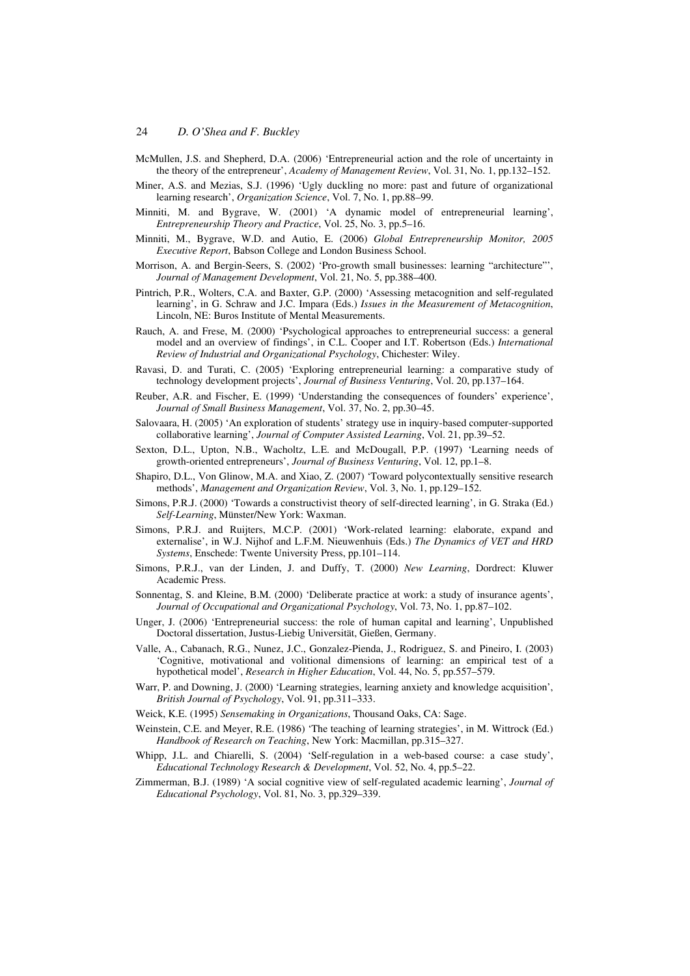- McMullen, J.S. and Shepherd, D.A. (2006) 'Entrepreneurial action and the role of uncertainty in the theory of the entrepreneur', *Academy of Management Review*, Vol. 31, No. 1, pp.132–152.
- Miner, A.S. and Mezias, S.J. (1996) 'Ugly duckling no more: past and future of organizational learning research', *Organization Science*, Vol. 7, No. 1, pp.88–99.
- Minniti, M. and Bygrave, W. (2001) 'A dynamic model of entrepreneurial learning', *Entrepreneurship Theory and Practice*, Vol. 25, No. 3, pp.5–16.
- Minniti, M., Bygrave, W.D. and Autio, E. (2006) *Global Entrepreneurship Monitor, 2005 Executive Report*, Babson College and London Business School.
- Morrison, A. and Bergin-Seers, S. (2002) 'Pro-growth small businesses: learning "architecture"', *Journal of Management Development*, Vol. 21, No. 5, pp.388–400.
- Pintrich, P.R., Wolters, C.A. and Baxter, G.P. (2000) 'Assessing metacognition and self-regulated learning', in G. Schraw and J.C. Impara (Eds.) *Issues in the Measurement of Metacognition*, Lincoln, NE: Buros Institute of Mental Measurements.
- Rauch, A. and Frese, M. (2000) 'Psychological approaches to entrepreneurial success: a general model and an overview of findings', in C.L. Cooper and I.T. Robertson (Eds.) *International Review of Industrial and Organizational Psychology*, Chichester: Wiley.
- Ravasi, D. and Turati, C. (2005) 'Exploring entrepreneurial learning: a comparative study of technology development projects', *Journal of Business Venturing*, Vol. 20, pp.137–164.
- Reuber, A.R. and Fischer, E. (1999) 'Understanding the consequences of founders' experience', *Journal of Small Business Management*, Vol. 37, No. 2, pp.30–45.
- Salovaara, H. (2005) 'An exploration of students' strategy use in inquiry-based computer-supported collaborative learning', *Journal of Computer Assisted Learning*, Vol. 21, pp.39–52.
- Sexton, D.L., Upton, N.B., Wacholtz, L.E. and McDougall, P.P. (1997) 'Learning needs of growth-oriented entrepreneurs', *Journal of Business Venturing*, Vol. 12, pp.1–8.
- Shapiro, D.L., Von Glinow, M.A. and Xiao, Z. (2007) 'Toward polycontextually sensitive research methods', *Management and Organization Review*, Vol. 3, No. 1, pp.129–152.
- Simons, P.R.J. (2000) 'Towards a constructivist theory of self-directed learning', in G. Straka (Ed.) *Self-Learning*, Münster/New York: Waxman.
- Simons, P.R.J. and Ruijters, M.C.P. (2001) 'Work-related learning: elaborate, expand and externalise', in W.J. Nijhof and L.F.M. Nieuwenhuis (Eds.) *The Dynamics of VET and HRD Systems*, Enschede: Twente University Press, pp.101–114.
- Simons, P.R.J., van der Linden, J. and Duffy, T. (2000) *New Learning*, Dordrect: Kluwer Academic Press.
- Sonnentag, S. and Kleine, B.M. (2000) 'Deliberate practice at work: a study of insurance agents', *Journal of Occupational and Organizational Psychology*, Vol. 73, No. 1, pp.87–102.
- Unger, J. (2006) 'Entrepreneurial success: the role of human capital and learning', Unpublished Doctoral dissertation, Justus-Liebig Universität, Gießen, Germany.
- Valle, A., Cabanach, R.G., Nunez, J.C., Gonzalez-Pienda, J., Rodriguez, S. and Pineiro, I. (2003) 'Cognitive, motivational and volitional dimensions of learning: an empirical test of a hypothetical model', *Research in Higher Education*, Vol. 44, No. 5, pp.557–579.
- Warr, P. and Downing, J. (2000) 'Learning strategies, learning anxiety and knowledge acquisition', *British Journal of Psychology*, Vol. 91, pp.311–333.
- Weick, K.E. (1995) *Sensemaking in Organizations*, Thousand Oaks, CA: Sage.
- Weinstein, C.E. and Meyer, R.E. (1986) 'The teaching of learning strategies', in M. Wittrock (Ed.) *Handbook of Research on Teaching*, New York: Macmillan, pp.315–327.
- Whipp, J.L. and Chiarelli, S. (2004) 'Self-regulation in a web-based course: a case study', *Educational Technology Research & Development*, Vol. 52, No. 4, pp.5–22.
- Zimmerman, B.J. (1989) 'A social cognitive view of self-regulated academic learning', *Journal of Educational Psychology*, Vol. 81, No. 3, pp.329–339.